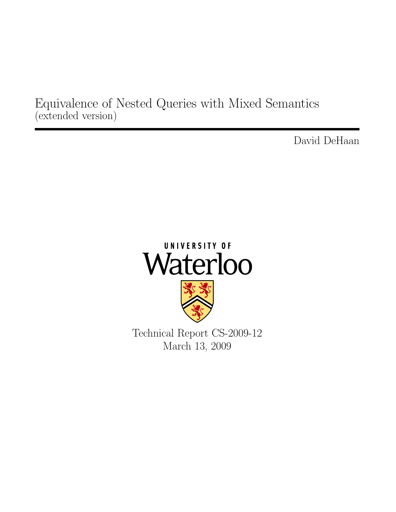Equivalence of Nested Queries with Mixed Semantics (extended version)

David DeHaan

# UNIVERSITY OF Waterloo

Technical Report CS-2009-12 March 13, 2009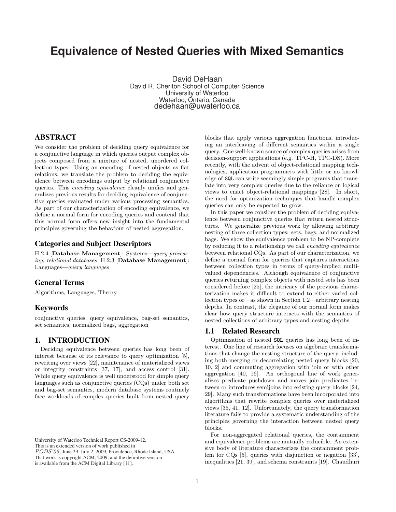# **Equivalence of Nested Queries with Mixed Semantics**

David DeHaan David R. Cheriton School of Computer Science University of Waterloo Waterloo, Ontario, Canada dedehaan@uwaterloo.ca

# ABSTRACT

We consider the problem of deciding query equivalence for a conjunctive language in which queries output complex objects composed from a mixture of nested, unordered collection types. Using an encoding of nested objects as flat relations, we translate the problem to deciding the equivalence between encodings output by relational conjunctive queries. This encoding equivalence cleanly unifies and generalizes previous results for deciding equivalence of conjunctive queries evaluated under various processing semantics. As part of our characterization of encoding equivalence, we define a normal form for encoding queries and contend that this normal form offers new insight into the fundamental principles governing the behaviour of nested aggregation.

# Categories and Subject Descriptors

H.2.4 [Database Management]: Systems—query processing, relational databases; H.2.3 [Database Management]: Languages—query languages

# General Terms

Algorithms, Languages, Theory

# Keywords

conjunctive queries, query equivalence, bag-set semantics, set semantics, normalized bags, aggregation

# 1. INTRODUCTION

Deciding equivalence between queries has long been of interest because of its relevance to query optimization [5], rewriting over views [22], maintenance of materialized views or integrity constraints [37, 17], and access control [31]. While query equivalence is well understood for simple query languages such as conjunctive queries (CQs) under both set and bag-set semantics, modern database systems routinely face workloads of complex queries built from nested query

University of Waterloo Technical Report CS-2009-12.

This is an extended version of work published in

PODS'09, June 29-July 2, 2009, Providence, Rhode Island, USA.

That work is copyright ACM, 2009, and the definitive version

is available from the ACM Digital Library [11].

blocks that apply various aggregation functions, introducing an interleaving of different semantics within a single query. One well-known source of complex queries arises from decision-support applications (e.g. TPC-H, TPC-DS). More recently, with the advent of object-relational mapping technologies, application programmers with little or no knowledge of SQL can write seemingly simple programs that translate into very complex queries due to the reliance on logical views to enact object-relational mappings [28]. In short, the need for optimization techniques that handle complex queries can only be expected to grow.

In this paper we consider the problem of deciding equivalence between conjunctive queries that return nested structures. We generalize previous work by allowing arbitrary nesting of three collection types: sets, bags, and normalized bags. We show the equivalence problem to be NP-complete by reducing it to a relationship we call encoding equivalence between relational CQs. As part of our characterization, we define a normal form for queries that captures interactions between collection types in terms of query-implied multivalued dependencies. Although equivalence of conjunctive queries returning complex objects with nested sets has been considered before [25], the intricacy of the previous characterization makes it difficult to extend to either varied collection types or—as shown in Section 1.2—arbitrary nesting depths. In contrast, the elegance of our normal form makes clear how query structure interacts with the semantics of nested collections of arbitrary types and nesting depths.

# 1.1 Related Research

Optimization of nested SQL queries has long been of interest. One line of research focuses on algebraic transformations that change the nesting structure of the query, including both merging or decorrelating nested query blocks [20, 10, 2] and commuting aggregation with join or with other aggregation [40, 16]. An orthogonal line of work generalizes predicate pushdown and moves join predicates between or introduces semijoins into existing query blocks [24, 29]. Many such transformations have been incorporated into algorithms that rewrite complex queries over materialized views [35, 41, 12]. Unfortunately, the query transformation literature fails to provide a systematic understanding of the principles governing the interaction between nested query blocks.

For non-aggregated relational queries, the containment and equivalence problems are mutually reducible. An extensive body of literature characterizes the containment problem for CQs [5], queries with disjunction or negation [33], inequalities [21, 39], and schema constraints [19]. Chaudhuri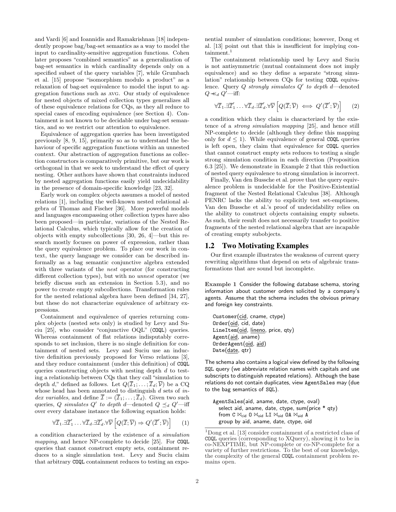and Vardi [6] and Ioannidis and Ramakrishnan [18] independently propose bag/bag-set semantics as a way to model the input to cardinality-sensitive aggregation functions. Cohen later proposes "combined semantics" as a generalization of bag-set semantics in which cardinality depends only on a specified subset of the query variables [7], while Grumbach et al. [15] propose "isomorphism modulo a product" as a relaxation of bag-set equivalence to model the input to aggregation functions such as avg. Our study of equivalence for nested objects of mixed collection types generalizes all of these equivalence relations for CQs, as they all reduce to special cases of encoding equivalence (see Section 4). Containment is not known to be decidable under bag-set semantics, and so we restrict our attention to equivalence.

Equivalence of aggregation queries has been investigated previously [8, 9, 15], primarily so as to understand the behaviour of specific aggregation functions within an unnested context. Our abstraction of aggregation functions as collection constructors is comparatively primitive, but our work is orthogonal in that we seek to understand the effect of query nesting. Other authors have shown that constraints induced by nested aggregation functions easily yield undecidability in the presence of domain-specific knowledge [23, 32].

Early work on complex objects assumes a model of nested relations [1], including the well-known nested relational algebra of Thomas and Fischer [36]. More powerful models and languages encompassing other collection types have also been proposed—in particular, variations of the Nested Relational Calculus, which typically allow for the creation of objects with empty subcollections [30, 26, 4]—but this research mostly focuses on power of expression, rather than the query equivalence problem. To place our work in context, the query language we consider can be described informally as a bag semantic conjunctive algebra extended with three variants of the *nest* operator (for constructing different collection types), but with no unnest operator (we briefly discuss such an extension in Section 5.3), and no power to create empty subcollections. Transformation rules for the nested relational algebra have been defined [34, 27], but these do not characterize equivalence of arbitrary expressions.

Containment and equivalence of queries returning complex objects (nested sets only) is studied by Levy and Suciu [25], who consider "conjunctive OQL" (COQL) queries. Whereas containment of flat relations indisputably corresponds to set inclusion, there is no single definition for containment of nested sets. Levy and Suciu use an inductive definition previously proposed for Verso relations [3], and they reduce containment (under this definition) of COQL queries constructing objects with nesting depth d to testing a relationship between CQs that they call "simulation to depth d," defined as follows. Let  $Q(\overline{\mathcal{I}}_1;\ldots;\overline{\mathcal{I}}_d;\overline{\mathcal{V}})$  be a CQ whose head has been annotated to distinguish  $d$  sets of  $in$ dex variables, and define  $\overline{\mathcal{I}} := (\overline{\mathcal{I}}_1; \ldots; \overline{\mathcal{I}}_d)$ . Given two such queries, Q simulates Q' to depth d—denoted  $Q \preceq_d Q'$ —iff over every database instance the following equation holds:

$$
\forall \overline{\mathcal{I}}_1 \ldotp \exists \overline{\mathcal{I}}'_1 \ldots \forall \overline{\mathcal{I}}_d \ldotp \exists \overline{\mathcal{I}}'_d \ldotp \forall \overline{\mathcal{V}} \left[ Q(\overline{\mathcal{I}}; \overline{\mathcal{V}}) \Rightarrow Q'(\overline{\mathcal{I}}'; \overline{\mathcal{V}}) \right] \qquad (1)
$$

a condition characterized by the existence of a simulation mapping, and hence NP-complete to decide [25]. For COQL queries that cannot construct empty sets, containment reduces to a single simulation test. Levy and Suciu claim that arbitrary COQL containment reduces to testing an exponential number of simulation conditions; however, Dong et al. [13] point out that this is insufficient for implying containment.<sup>1</sup>

The containment relationship used by Levy and Suciu is not antisymmetric (mutual containment does not imply equivalence) and so they define a separate "strong simulation" relationship between CQs for testing COQL equivalence. Query  $Q$  strongly simulates  $Q'$  to depth d—denoted  $Q \nprec_d Q'$ —iff:

$$
\forall \overline{\mathcal{I}}_1 \ldotp \exists \overline{\mathcal{I}}'_1 \ldots \forall \overline{\mathcal{I}}_d \ldotp \exists \overline{\mathcal{I}}'_d \ldotp \forall \overline{\mathcal{V}} \left[ Q(\overline{\mathcal{I}}; \overline{\mathcal{V}}) \iff Q'(\overline{\mathcal{I}}'; \overline{\mathcal{V}}) \right] \qquad (2)
$$

a condition which they claim is characterized by the existence of a strong simulation mapping [25], and hence still NP-complete to decide (although they define this mapping only for  $d \leq 1$ ). While equivalence of general COQL queries is left open, they claim that equivalence for COQL queries that cannot construct empty sets reduces to testing a single strong simulation condition in each direction (Proposition 6.3 [25]). We demonstrate in Example 2 that this reduction of nested query equivalence to strong simulation is incorrect.

Finally, Van den Bussche et al. prove that the query equivalence problem is undecidable for the Positive-Existential fragment of the Nested Relational Calculus [38]. Although PENRC lacks the ability to explicitly test set-emptiness, Van den Bussche et al.'s proof of undecidability relies on the ability to construct objects containing empty subsets. As such, their result does not necessarily transfer to positive fragments of the nested relational algebra that are incapable of creating empty subobjects.

### 1.2 Two Motivating Examples

Our first example illustrates the weakness of current query rewriting algorithms that depend on sets of algebraic transformations that are sound but incomplete.

Example 1 Consider the following database schema, storing information about customer orders solicited by a company's agents. Assume that the schema includes the obvious primary and foreign key constraints.

Customer(cid, cname, ctype) Order(oid, cid, date) LineItem(oid, lineno, price, qty) Agent(aid, aname) OrderAgent(oid, aid) Date(date, qtr)

The schema also contains a logical view defined by the following SQL query (we abbreviate relation names with capitals and use subscripts to distinguish repeated relations). Although the base relations do not contain duplicates, view AgentSales may (due to the bag semantics of SQL).

AgentSales(aid, aname, date, ctype, oval) select aid, aname, date, ctype, sum(price \* qty) from C  $\bowtie_{\mathsf{cid}}$  O  $\bowtie_{\mathsf{oid}}$  LI  $\bowtie_{\mathsf{oid}}$  OA  $\bowtie_{\mathsf{aid}}$  A group by aid, aname, date, ctype, oid

<sup>1</sup>Dong et al. [13] consider containment of a restricted class of COQL queries (corresponding to XQuery), showing it to be in co-NEXPTIME, but NP-complete or co-NP-complete for a variety of further restrictions. To the best of our knowledge, the complexity of the general COQL containment problem remains open.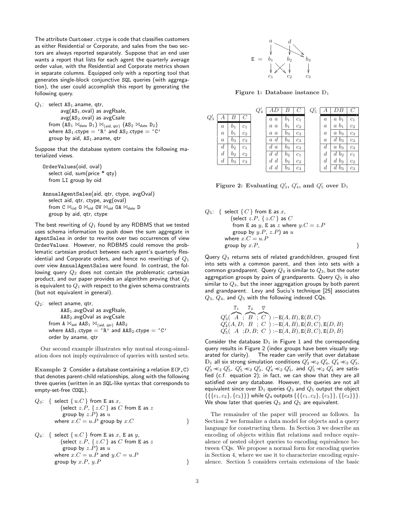The attribute Customer.ctype is code that classifies customers as either Residential or Corporate, and sales from the two sectors are always reported separately. Suppose that an end user wants a report that lists for each agent the quarterly average order value, with the Residential and Corporate metrics shown in separate columns. Equipped only with a reporting tool that generates single-block conjunctive SQL queries (with aggregation), the user could accomplish this report by generating the following query.

 $Q_1$ : select AS<sub>1</sub> aname, qtr,  $avg(AS<sub>1</sub>.oval)$  as avgRsale,  $avg(AS_2.oval)$  as avgCsale from  $(AS_1 \Join_{date} D_1) \Join_{\{aid, qtr\}} (AS_2 \Join_{date} D_2)$ where  $AS_1$ .ctype = 'R' and  $AS_2$ .ctype = 'C' group by aid,  $AS<sub>1</sub>$  aname, qtr

Suppose that the database system contains the following materialized views.

```
OrderValues(oid, oval)
  select oid, sum(price * qty)
  from LI group by oid
```
AnnualAgentSales(aid, qtr, ctype, avgOval) select aid, qtr, ctype, avg(oval) from C  $\bowtie$ <sub>cid</sub> O  $\bowtie$ <sub>oid</sub> OV  $\bowtie$ <sub>oid</sub> OA  $\bowtie$ <sub>date</sub> D group by aid, qtr, ctype

The best rewriting of  $Q_1$  found by any RDBMS that we tested uses schema information to push down the sum aggregate in AgentSales in order to rewrite over two occurrences of view OrderValues. However, no RDBMS could remove the problematic cartesian product between each agent's quarterly Residential and Corporate orders, and hence no rewritings of  $Q_1$ over view AnnualAgentSales were found. In contrast, the following query  $Q_2$  does not contain the problematic cartesian product, and our paper provides an algorithm proving that  $Q_2$ is equivalent to  $Q_1$  with respect to the given schema constraints (but not equivalent in general).

```
Q_2: select aname, qtr,
                AdS<sub>1</sub>.avgOval as avgRsale,
                AAS2.avgOval as avgCsale
         from A \bowtie<sub>aid</sub> AAS<sub>1</sub> \bowtie<sub>{aid, qtr}</sub> AAS<sub>2</sub>
         where \text{AAS}_1.\text{ctype} = \text{'R'} and \text{AAS}_2.\text{ctype} = \text{'C'}order by aname, qtr
```
Our second example illustrates why mutual strong-simulation does not imply equivalence of queries with nested sets.

Example 2 Consider a database containing a relation E(P,C) that denotes parent-child relationships, along with the following three queries (written in an SQL-like syntax that corresponds to empty-set-free COQL).

Q<sub>3</sub>: { select { 
$$
u.C
$$
 } from E as  $x$ ,  
\n(select  $z.P$ , {  $z.C$  } as  $C$  from E as  $z$   
\ngroup by  $z.P$ ) as  $u$   
\nwhere  $x.C = u.P$  group by  $x.C$ 

*Q*<sub>4</sub>: { select { 
$$
u.C
$$
} from E as x, E as y,  
\n(select z.P, { z.C } as C from E as z  
\ngroup by z.P) as u  
\nwhere  $x.C = u.P$  and  $y.C = u.P$   
\ngroup by x.P, y.P



Figure 1: Database instance  $D_1$ 

|        |                  |                  |                | $Q_4^{\cdot}$ |                                      |                |                            | $Q'_5$ |                  |                           |                |
|--------|------------------|------------------|----------------|---------------|--------------------------------------|----------------|----------------------------|--------|------------------|---------------------------|----------------|
| $Q'_3$ |                  |                  |                |               | $\boldsymbol{a}$<br>$\boldsymbol{a}$ | $_{b_1}$       | 11111111<br>C <sub>1</sub> |        | $\boldsymbol{a}$ | $\alpha$<br>O1            | c <sub>1</sub> |
|        | $\alpha$         | O1               | c <sub>1</sub> |               | $\it a$<br>$\boldsymbol{a}$          | b <sub>1</sub> | $c_2$                      |        | $\boldsymbol{a}$ | b <sub>1</sub><br>$\it a$ | $c_2$          |
|        | $\it a$          | $_{01}$          | $c_2$          |               | $\it a$<br>$\boldsymbol{a}$          | $_{03}$        | $c_3$                      |        | $\it a$          | $\it a$<br>$v_3$          | $c_3$          |
|        | $\it a$          | $_{03}$          | $c_3$          |               | a<br>a                               | $b_3$          | $c_3$                      |        | $\it a$          | d<br>$b_3$                | $c_3$          |
|        | d                | $b_2$            | c <sub>1</sub> |               | d<br>$\boldsymbol{a}$                | $b_3$          | $c_3$                      |        | d                | $\it a$<br>$b_3$          | $c_3$          |
|        | $\boldsymbol{d}$ | $\mathfrak{v}_2$ | c <sub>2</sub> |               | d<br>d                               | b <sub>2</sub> | C <sub>1</sub>             |        | d                | b <sub>2</sub>            | $c_1$          |
|        | d                | bз               | $c_3$          |               | $\boldsymbol{d}$<br>$d_{-}$          | b <sub>2</sub> | c <sub>2</sub>             |        | $\boldsymbol{d}$ | $d\;b_2$                  | c <sub>2</sub> |
|        |                  |                  |                |               | $d_{\cdot}$<br>$\overline{d}$        | $b_3$          | $c_3$                      |        | d                | d<br>$b_3$                | $c_3$          |

Figure 2: Evaluating  $Q'_3$ ,  $Q'_4$ , and  $Q'_5$  over  $D_1$ 

$$
Q_5: \{ \text{ select } \{C\} \text{ from E as } x, \\ (\text{select } z.P, \{z.C\} \text{ as } C \\ \text{ from E as } y, \text{ E as } z \text{ where } y.C = z.P \\ \text{ group by } y.P, z.P) \text{ as } u \\ \text{where } x.C = u.P \\ \text{group by } x.P,
$$

Query  $Q_3$  returns sets of related grandchildren, grouped first into sets with a common parent, and then into sets with a common grandparent. Query  $Q_4$  is similar to  $Q_3$ , but the outer aggregation groups by pairs of grandparents. Query  $Q_5$  is also similar to  $Q_3$ , but the inner aggregation groups by both parent and grandparent. Levy and Suciu's technique [25] associates  $Q_3$ ,  $Q_4$ , and  $Q_5$  with the following indexed CQs.

$$
\overline{\mathcal{I}}_1 \xrightarrow{\overline{\mathcal{I}}_2} \overline{\mathcal{V}} \atop Q'_3(\overbrace{A}^{'}; \overbrace{B}^{'}; \overbrace{C}^{'}):=E(A,B),E(B,C) Q'_4(A,D; \overline{B}^{'}; \overline{C}^{'}):=E(A,B),E(B,C),E(D,B) Q'_5(\overline{A}^{'};D,B; \overline{C}^{'}):=E(A,B),E(B,C),E(D,B)
$$

Consider the database  $\mathbb{D}_1$  in Figure 1 and the corresponding query results in Figure 2 (index groups have been visually separated for clarity). The reader can verify that over database  $\mathbb{D}_1$  all six strong simulation conditions  $Q'_3 \prec_2 Q'_4$ ,  $Q'_4 \prec_2 Q'_3$ ,  $Q_3' \prec_2 Q_5'$ ,  $Q_5' \prec_2 Q_3'$ ,  $Q_4' \prec_2 Q_5'$ , and  $Q_5' \prec_2 Q_4'$  are satisfied (c.f. equation 2); in fact, we can show that they are all satisfied over any database. However, the queries are not all equivalent since over  $\mathbb{D}_1$  queries  $Q_3$  and  $Q_5$  output the object  $\{\{\{c_1,c_2\},\{c_3\}\}\}\$  while  $Q_4$  outputs  $\{\{\{c_1,c_2\},\{c_3\}\},\{\{c_3\}\}\}.$ We show later that queries  $Q_3$  and  $Q_5$  are equivalent.

The remainder of the paper will proceed as follows. In Section 2 we formalize a data model for objects and a query language for constructing them. In Section 3 we describe an encoding of objects within flat relations and reduce equivalence of nested object queries to encoding equivalence between CQs. We propose a normal form for encoding queries in Section 4, where we use it to characterize encoding equivalence. Section 5 considers certain extensions of the basic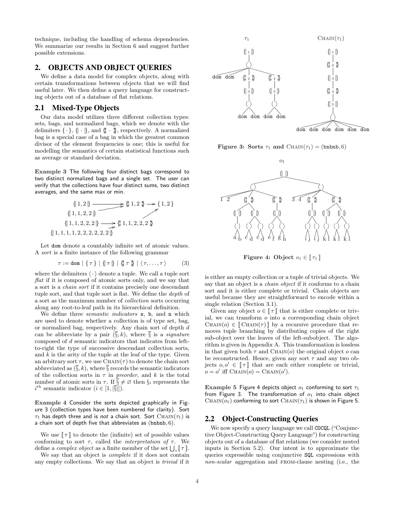technique, including the handling of schema dependencies. We summarize our results in Section 6 and suggest further possible extensions.

# 2. OBJECTS AND OBJECT QUERIES

We define a data model for complex objects, along with certain transformations between objects that we will find useful later. We then define a query language for constructing objects out of a database of flat relations.

# 2.1 Mixed-Type Objects

Our data model utilizes three different collection types: sets, bags, and normalized bags, which we denote with the delimiters  $\{\cdot\}, \{\cdot\},$  and  $\{\!\!\{\cdot\},\}$ , respectively. A normalized bag is a special case of a bag in which the greatest common divisor of the element frequencies is one; this is useful for modelling the semantics of certain statistical functions such as average or standard deviation.

Example 3 The following four distinct bags correspond to two distinct normalized bags and a single set. The user can verify that the collections have four distinct sums, two distinct averages, and the same max or min.

$$
\{1,2\} \longrightarrow \{1,2\} \longrightarrow \{1,2\}
$$
  

$$
\{1,1,2,2\} \longrightarrow \{1,2\} \longrightarrow \{1,2\}
$$
  

$$
\{1,1,2,2,2\} \longrightarrow \{1,1,2,2,2\}
$$
  

$$
\{1,1,1,1,2,2,2,2,2,2\}
$$

Let dom denote a countably infinite set of atomic values. A sort is a finite instance of the following grammar

$$
\tau := \text{dom} \mid \{ \tau \} \mid \{ \tau \rvert\} \mid \{ \sharp \tau \rvert\} \mid \langle \tau, \ldots, \tau \rangle \tag{3}
$$

where the delimiters  $\langle \cdot \rangle$  denote a tuple. We call a tuple sort  $flat$  if it is composed of atomic sorts only, and we say that a sort is a chain sort if it contains precisely one descendant tuple sort, and that tuple sort is flat. We define the depth of a sort as the maximum number of collection sorts occurring along any root-to-leaf path in its hierarchical definition.

We define three *semantic indicators* s, b, and n which are used to denote whether a collection is of type set, bag, or normalized bag, respectively. Any chain sort of depth d can be abbreviate by a pair  $(\S, k)$ , where  $\S$  is a *signature* composed of d semantic indicators that indicates from leftto-right the type of successive descendant collection sorts, and  $k$  is the arity of the tuple at the leaf of the type. Given an arbitrary sort  $\tau$ , we use CHAIN( $\tau$ ) to denote the chain sort abbreviated as  $(\S, k)$ , where  $\S$  records the semantic indicators of the collection sorts in  $\tau$  in preorder, and k is the total number of atomic sorts in  $\tau$ . If  $\overline{\S} \neq \emptyset$  then  $\S_i$  represents the  $i^{\text{th}}$  semantic indicator  $(i \in [1, \lvert \overline{\S} \rvert]).$ 

Example 4 Consider the sorts depicted graphically in Figure 3 (collection types have been numbered for clarity). Sort  $\tau_1$  has depth three and is not a chain sort. Sort CHAIN( $\tau_1$ ) is a chain sort of depth five that abbreviates as  $(bn b n b, 6)$ .

We use  $\llbracket \tau \rrbracket$  to denote the (infinite) set of possible values conforming to sort  $\tau$ , called the *interpretation of*  $\tau$ . We conforming to sort  $\tau$ , called the *interpretation of*  $\tau$ . We define a *complex object* as a finite member of the set  $\bigcup_{\tau} [\tau]$ .

We say that an object is *complete* if it does not contain any empty collections. We say that an object is trivial if it



Figure 3: Sorts  $\tau_1$  and  $\text{CHAIN}(\tau_1) = (\text{bnbh}, 6)$ 



Figure 4: Object  $o_1 \in [\![\tau_1]\!]$ 

is either an empty collection or a tuple of trivial objects. We say that an object is a *chain object* if it conforms to a chain sort and it is either complete or trivial. Chain objects are useful because they are straightforward to encode within a single relation (Section 3.1).

Given any object  $o \in \llbracket \tau \rrbracket$  that is either complete or trivial, we can transform o into a corresponding chain object CHAIN( $o$ )  $\in$  [CHAIN( $\tau$ )] by a recursive procedure that removes tuple branching by distributing copies of the right sub-object over the leaves of the left-subobject. The algorithm is given in Appendix A. This transformation is lossless in that given both  $\tau$  and CHAIN( $o$ ) the original object  $o$  can be reconstructed. Hence, given any sort  $\tau$  and any two objects  $o, o' \in \llbracket \tau \rrbracket$  that are each either complete or trivial,  $o = o'$  iff CHAIN $(o) =$ CHAIN $(o')$ .

Example 5 Figure 4 depicts object  $o_1$  conforming to sort  $\tau_1$ from Figure 3. The transformation of  $o_1$  into chain object CHAIN( $o_1$ ) conforming to sort CHAIN( $\tau_1$ ) is shown in Figure 5.

# 2.2 Object-Constructing Queries

We now specify a query language we call COCQL ("Conjunctive Object-Constructing Query Language") for constructing objects out of a database of flat relations (we consider nested inputs in Section 5.2). Our intent is to approximate the queries expressible using conjunctive SQL expressions with non-scalar aggregation and from-clause nesting (i.e., the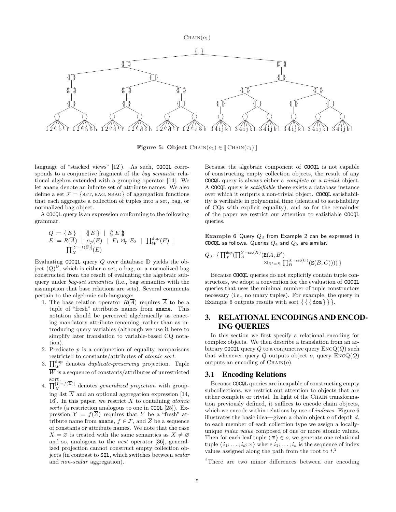$CHAIN(o<sub>1</sub>)$ 



Figure 5: Object  $\text{CHAIN}(o_1) \in \llbracket \text{CHAIN}(\tau_1) \rrbracket$ 

language of "stacked views" [12]). As such, COCQL corresponds to a conjunctive fragment of the bag semantic relational algebra extended with a grouping operator [14]. We let aname denote an infinite set of attribute names. We also define a set  $\mathcal{F} = \{SET, BAG, NBAG\}$  of aggregation functions that each aggregate a collection of tuples into a set, bag, or normalized bag object.

A COCQL query is an expression conforming to the following grammar.

$$
\begin{array}{l} Q:=\left\{\,E\,\right\} \;\mid\; \left\{\,\mathbb{E}\,\mathbb{B}\,\mid\; \left\{\,\mathbb{E}\,\mathbb{E}\,\right\}\,\right.\\ E:=R(\overline{A})\;\mid\; \sigma_p(E)\;\mid\; E_1\bowtie_p E_2\;\mid\; \prod_{\overline{W}}^{\operatorname{dup}}(E)\;\mid\\ \prod_{\overline{X}}^{\left[Y-f(\overline{Z})\right]}(E) \end{array}
$$

Evaluating COCQL query Q over database D yields the object  $(Q)^D$ , which is either a set, a bag, or a normalized bag constructed from the result of evaluating the algebraic subquery under bag-set semantics (i.e., bag semantics with the assumption that base relations are sets). Several comments pertain to the algebraic sub-language:

- 1. The base relation operator  $R(\overline{A})$  requires  $\overline{A}$  to be a tuple of "fresh" attributes names from aname. This notation should be perceived algebraically as enacting mandatory attribute renaming, rather than as introducing query variables (although we use it here to simplify later translation to variable-based CQ notation).
- 2. Predicate  $p$  is a conjunction of equality comparisons restricted to constants/attributes of atomic sort.
- ESTE THE CONSTRAINT CONSTRAINT SUPPOSE TO A CONSTRAIN TO THE SOLE OF THE PRESERVING PROJECTION. Tuple  $\overline{W}$  is a sequence of constants/attributes of unrestricted
- sort.<br>4.  $\prod_{\overline{X}}^{[Y=f(\overline{Z})]}$  denotes *generalized projection* with grouping list  $\overline{X}$  and an optional aggregation expression [14, 16. In this paper, we restrict  $\overline{X}$  to containing *atomic* sorts (a restriction analogous to one in COQL [25]). Expression  $Y = f(\overline{Z})$  requires that Y be a "fresh" attribute name from **aname**,  $f \in \mathcal{F}$ , and Z be a sequence of constants or attribute names. We note that the case  $X = \emptyset$  is treated with the same semantics as  $X \neq \emptyset$ and so, analogous to the nest operator [36], generalized projection cannot construct empty collection objects (in contrast to SQL, which switches between scalar and non-scalar aggregation).

Because the algebraic component of COCQL is not capable of constructing empty collection objects, the result of any COCQL query is always either a complete or a trivial object. A COCQL query is satisfiable there exists a database instance over which it outputs a non-trivial object. COCQL satisfiability is verifiable in polynomial time (identical to satisfiability of CQs with explicit equality), and so for the remainder of the paper we restrict our attention to satisfiable COCQL queries.

Example 6 Query  $Q_3$  from Example 2 can be expressed in COCQL as follows. Queries  $Q_4$  and  $Q_5$  are similar.

$$
Q_3\colon\thinspace\{\textstyle{\prod_Y^{\text{dup}}(\prod_A^{Y=\text{set}(X)}(\mathbf E(A,B')\atop \textstyle\bigwedge_{B'=B}\prod_B^{X=\text{set}(C)}(\mathbf E(B,C))))\}}
$$

Because COCQL queries do not explicitly contain tuple constructors, we adopt a convention for the evaluation of COCQL queries that uses the minimal number of tuple constructors necessary (i.e., no unary tuples). For example, the query in Example 6 outputs results with sort  $\{ \{ \{ \text{dom} \} \} \}.$ 

# 3. RELATIONAL ENCODINGS AND ENCOD-ING QUERIES

In this section we first specify a relational encoding for complex objects. We then describe a translation from an arbitrary COCQL query  $Q$  to a conjunctive query  $\text{Enc}(Q)$  such that whenever query  $Q$  outputs object  $o$ , query  $\text{EncQ}(Q)$ outputs an encoding of  $\text{CHAIN}(o)$ .

### 3.1 Encoding Relations

Because COCQL queries are incapable of constructing empty subcollections, we restrict out attention to objects that are either complete or trivial. In light of the CHAIN transformation previously defined, it suffices to encode chain objects, which we encode within relations by use of *indexes*. Figure 6 illustrates the basic idea—given a chain object  $o$  of depth  $d$ , to each member of each collection type we assign a locallyunique index value composed of one or more atomic values. Then for each leaf tuple  $\langle \overline{x} \rangle \in o$ , we generate one relational tuple  $\langle i_1; \ldots; i_d; \overline{x} \rangle$  where  $i_1; \ldots; i_d$  is the sequence of index values assigned along the path from the root to  $t^2$ .

<sup>2</sup>There are two minor differences between our encoding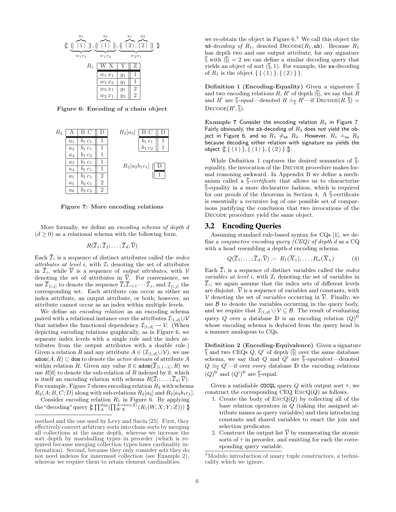

Figure 6: Encoding of a chain object



Figure 7: More encoding relations

More formally, we define an encoding schema of depth d  $(d \geq 0)$  as a relational schema with the following form.

$$
R(\overline{\mathcal{I}}_1;\overline{\mathcal{I}}_2;\ldots;\overline{\mathcal{I}}_d;\overline{\mathcal{V}})
$$

Each  $\overline{\mathcal{I}}_i$  is a sequence of distinct attributes called the *index* attributes at level i, with  $\mathcal{I}_i$  denoting the set of attributes in  $\overline{\mathcal{I}}_i$ , while  $\overline{\mathcal{V}}$  is a sequence of *output attributes*, with  $\mathcal{V}$ denoting the set of attributes in  $\overline{\mathcal{V}}$ . For convenience, we use  $\overline{\mathcal{I}}_{[i,j]}$  to denote the sequence  $\overline{\mathcal{I}}_i \overline{\mathcal{I}}_{i+1} \cdots \overline{\mathcal{I}}_j$ , and  $\mathcal{I}_{[i,j]}$  the corresponding set. Each attribute can occur as either an index attribute, an output attribute, or both; however, an attribute cannot occur as an index within multiple levels.

We define an *encoding relation* as an encoding schema paired with a relational instance over the attributes  $\mathcal{I}_{[1,d]} \cup \mathcal{V}$ that satisfies the functional dependency  $\mathcal{I}_{[1,d]} \to \mathcal{V}$ . (When depicting encoding relations graphically, as in Figure 6, we separate index levels with a single rule and the index attributes from the output attributes with a double rule.) Given a relation R and any attribute  $A \in (\mathcal{I}_{[1,d]}\cup \mathcal{V})$ , we use  $\mathtt{adom}(A,R)\subset \mathtt{dom}$  to denote the  $active$   $domain$  of attribute  $A$ within relation R. Given any value  $\overline{a} \in \text{adom}(\overline{\mathcal{I}}_{[1,l-1]}, R)$  we use  $R[\overline{a}]$  to denote the sub-relation of R indexed by  $\overline{a}$ , which is itself an encoding relation with schema  $R(\overline{\mathcal{I}}_l; \ldots; \overline{\mathcal{I}}_d; \overline{\mathcal{V}})$ . For example, Figure 7 shows encoding relation  $R_2$  with schema  $R_2(A; B, C; D)$  along with sub-relations  $R_2[a_2]$  and  $R_2[a_2b_1c_1]$ .

Consider encoding relation  $R_1$  in Figure 6. By applying  $\text{the "decoding reaction } R_1 \text{ and } r_1 \text{ give } 0.$  By applying the "decoding" query  $\oint_{\mathbb{R}} \prod_{A}^{A} (\prod_{W}^{A} X_{S}(Z) (R_1(W, X; Y; Z))) \oint_{\mathbb{R}}$ 

we re-obtain the object in Figure  $6<sup>3</sup>$  We call this object the nb-decoding of  $R_1$ , denoted  $\text{DECODE}(R_1, \text{nb})$ . Because  $R_1$ has depth two and one output attribute, for any signature  $\sqrt{\frac{2}{3}}$  with  $|\sqrt{\frac{2}{3}}| = 2$  we can define a similar decoding query that yields an object of sort  $(\S, 1)$ . For example, the ss-decoding of  $R_1$  is the object  $\{\{\langle 1 \rangle\}, \{\langle 2 \rangle\}\}.$ 

**Definition 1 (Encoding-Equality)** Given a signature  $\frac{1}{3}$ and two encoding relations  $R, R'$  of depth  $|\overline{\S}|$ , we say that R and R' are  $\overline{\S}$ -equal—denoted  $R \doteq_{\overline{\S}} R'$ —if  $\overline{D}$ ECODE $(R, \overline{\S})$  = DECODE $(R', \overline{\S})$ .

Example 7 Consider the encoding relation  $R_2$  in Figure 7. Fairly obviously, the nb-decoding of  $R_2$  does not yield the obif any obviously, the in-decounity of  $R_2$  does not yield the ob-<br>ject in Figure 6, and so  $R_1 \neq_{nb} R_2$ . However,  $R_1 \neq_{ns} R_2$ because decoding either relation with signature ns yields the object  $\{\!\!\{\, \{\,\langle\, 1\,\rangle\,\}, \{\,\langle\, 1\,\rangle\,\}, \{\,\langle\, 2\,\rangle\,\}\,\!\!\}$  .

While Definition 1 captures the desired semantics of  $\overline{\S}$ equality, the invocation of the DECODE procedure makes formal reasoning awkward. In Appendix B we define a mechanism called a  $\overline{\S}$ -certificate that allows us to characterize  $\overline{\S}$ -equality in a more declarative fashion, which is required for our proofs of the theorems in Section 4. A  $\overline{\S}$ -certificate is essentially a recursive log of one possible set of comparisons justifying the conclusion that two invocations of the DECODE procedure yield the same object.

### 3.2 Encoding Queries

Assuming standard rule-based syntax for CQs [1], we define a *conjunctive encoding query (CEQ)* of depth d as a  $CQ$ with a head resembling a depth-d encoding schema.

$$
Q(\overline{\mathcal{I}}_1; \ldots; \overline{\mathcal{I}}_d; \overline{\mathcal{V}}) := R_1(\overline{X}_1), \ldots, R_n(\overline{X}_n)
$$
(4)

Each  $\overline{\mathcal{I}}_i$  is a sequence of distinct variables called the *index* variables at level i, with  $\mathcal{I}_i$  denoting the set of variables in  $\overline{\mathcal{I}}_i$ ; we again assume that the index sets of different levels are disjoint.  $\overline{V}$  is a sequence of variables and constants, with V denoting the set of *variables* occurring in  $\overline{V}$ . Finally, we use  $B$  to denote the variables occurring in the query body, and we require that  $\mathcal{I}_{[1,d]} \cup \mathcal{V} \subseteq \mathcal{B}$ . The result of evaluating query Q over a database  $\mathbb D$  is an encoding relation  $(Q)^{\mathbb D}$ whose encoding schema is deduced from the query head in a manner analogous to CQs.

Definition 2 (Encoding-Equivalence) Given a signature  $\overline{\S}$  and two CEQs Q, Q' of depth  $|\overline{\S}|$  over the same database schema, we say that Q and  $Q'$  are  $\overline{\S}$ -equivalent—denoted  $Q \equiv_{\overline{\S}} Q'$ —if over every database D the encoding relations  $(Q)^{\mathbb{D}}$  and  $(Q')^{\mathbb{D}}$  are  $\overline{\S}$ -equal.

Given a satisfiable COCQL query Q with output sort  $\tau$ , we construct the corresponding  $CEQ$   $EncQ(Q)$  as follows.

- 1. Create the body of  $ENCQ(Q)$  by collecting all of the base relation operators in Q (taking the assigned attribute names as query variables) and then introducing constants and shared variables to enact the join and selection predicates.
- 2. Construct the output list  $\overline{\mathcal{V}}$  by enumerating the atomic sorts of  $\tau$  in preorder, and emitting for each the corresponding query variable.

method and the one used by Levy and Suciu [25]. First, they effectively convert arbitrary sorts into chain sorts by merging all collections at the same depth, whereas we increase the sort depth by marshalling types in preorder (which is required because merging collection types loses cardinality information). Second, because they only consider sets they do not need indexes for innermost collection (see Example 2), whereas we require them to retain element cardinalities.

<sup>3</sup>Modulo introduction of unary tuple constructors, a technicality which we ignore.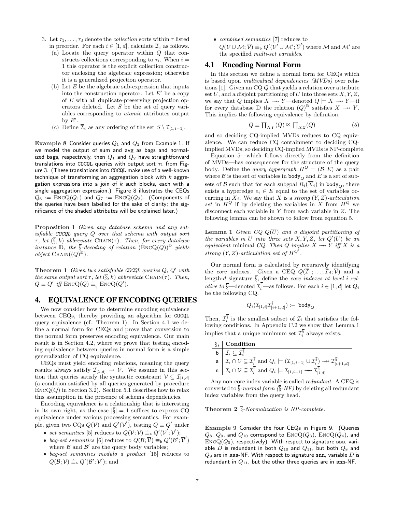- 3. Let  $\tau_1, \ldots, \tau_d$  denote the *collection* sorts within  $\tau$  listed in preorder. For each  $i \in [1, d]$ , calculate  $\overline{\mathcal{I}}_i$  as follows.
	- (a) Locate the query operator within Q that constructs collections corresponding to  $\tau_i$ . When  $i =$ 1 this operator is the explicit collection constructor enclosing the algebraic expression; otherwise it is a generalized projection operator.
	- (b) Let  $E$  be the algebraic sub-expression that inputs into the construction operator. Let  $E'$  be a copy of E with all duplicate-preserving projection operators deleted. Let  $S$  be the set of query variables corresponding to atomic attributes output by  $E'$ .
	- (c) Define  $\overline{\mathcal{I}}_i$  as any ordering of the set  $S \setminus \mathcal{I}_{[1,i-1]}$ .

Example 8 Consider queries  $Q_1$  and  $Q_2$  from Example 1. If we model the output of sum and avg as bags and normalized bags, respectively, then  $Q_1$  and  $Q_2$  have straightforward translations into COCQL queries with output sort  $\tau_1$  from Figure 3. (These translations into COCQL make use of a well-known technique of transforming an aggregation block with  $k$  aggregation expressions into a join of  $k$  such blocks, each with a single aggregation expression.) Figure 8 illustrates the CEQs  $Q_6 := \text{EncQ}(Q_1)$  and  $Q_7 := \text{EncQ}(Q_2)$ . (Components of the queries have been labelled for the sake of clarity; the significance of the shaded attributes will be explained later.)

Proposition 1 Given any database schema and any satisfiable COCQL query Q over that schema with output sort  $\tau$ , let  $(\bar{\xi}, k)$  abbreviate CHAIN( $\tau$ ). Then, for every database instance  $\mathbb{D}$ , the  $\overline{\S}$ -decoding of relation  $(\text{EncQ}(Q))^D$  yields *object* CHAIN $((Q)^{\text{D}})$ .

**Theorem 1** Given two satisfiable COCQL queries  $Q, Q'$  with the same output sort  $\tau$ , let  $(\bar{\S}, k)$  abbreviate CHAIN( $\tau$ ). Then,  $Q \equiv Q'$  iff  $\text{EncQ}(Q) \equiv_{\overline{\S}} \text{EncQ}(Q').$ 

# 4. EQUIVALENCE OF ENCODING QUERIES

We now consider how to determine encoding equivalence between CEQs, thereby providing an algorithm for COCQL query equivalence (cf. Theorem 1). In Section 4.1 we define a normal form for CEQs and prove that conversion to the normal form preserves encoding equivalence. Our main result is in Section 4.2, where we prove that testing encoding equivalence between queries in normal form is a simple generalization of CQ equivalence.

CEQs must yield encoding relations, meaning the query results always satisfy  $\mathcal{I}_{[1,d]} \to \mathcal{V}$ . We assume in this section that queries satisfy the syntactic constraint  $\mathcal{V} \subseteq \mathcal{I}_{[1,d]}$ (a condition satisfied by all queries generated by procedure  $\text{EncQ}(Q)$  in Section 3.2). Section 5.1 describes how to relax this assumption in the presence of schema dependencies.

Encoding equivalence is a relationship that is interesting in its own right, as the case  $|\S| = 1$  suffices to express CQ equivalence under various processing semantics. For example, given two CQs  $Q(\overline{V})$  and  $Q'(\overline{V}')$ , testing  $Q \equiv Q'$  under

- set semantics [5] reduces to  $Q(\overline{\mathcal{V}};\overline{\mathcal{V}}) \equiv_{\mathbf{s}} Q'(\overline{\mathcal{V}}';\overline{\mathcal{V}}');$
- bag-set semantics [6] reduces to  $Q(\mathcal{B}, \overline{\mathcal{V}}) \equiv_b Q'(\mathcal{B}', \overline{\mathcal{V}}')$ where  $\beta$  and  $\beta'$  are the query body variables;
- bag-set semantics modulo a product [15] reduces to  $Q(\mathcal{B};\overline{\mathcal{V}}) \equiv_n Q'(\mathcal{B}';\overline{\mathcal{V}}');$  and

• combined semantics [7] reduces to

 $Q(\mathcal{V} \cup \mathcal{M}; \overline{\mathcal{V}}) \equiv_{\text{b}} Q'(\mathcal{V'} \cup \mathcal{M'}; \overline{\mathcal{V}}')$  where  $\mathcal{M}$  and  $\mathcal{M'}$  are the specified multi-set variables.

### 4.1 Encoding Normal Form

In this section we define a normal form for CEQs which is based upon multivalued dependencies (MVDs) over relations [1]. Given an CQ Q that yields a relation over attribute set U, and a disjoint partitioning of U into three sets  $X, Y, Z$ , we say that Q implies  $X \rightarrow Y$  —denoted  $Q \models X \rightarrow Y$  —if for every database D the relation  $(Q)^D$  satisfies  $X \to Y$ . This implies the following equivalence by definition,

$$
Q \equiv \prod_{XY}(Q) \bowtie \prod_{XZ}(Q) \tag{5}
$$

and so deciding CQ-implied MVDs reduces to CQ equivalence. We can reduce CQ containment to deciding CQimplied MVDs, so deciding CQ-implied MVDs is NP-complete.

Equation 5—which follows directly from the definition of MVDs—has consequences for the structure of the query body. Define the *query hypergraph*  $H^{Q} = (\mathcal{B}, E)$  as a pair where  $\beta$  is the set of variables in body<sub>Q</sub> and E is a set of subsets of B such that for each subgoal  $R_i(\overline{X}_i)$  in body<sub> $\alpha$ </sub>, there exists a hyperedge  $e_i \in E$  equal to the set of variables occurring in  $\overline{X}_i$ . We say that X is a strong  $(Y, Z)$ -articulation set in  $H^Q$  if by deleting the variables in X from  $H^Q$  we disconnect each variable in Y from each variable in Z. The following lemma can be shown to follow from equation 5.

**Lemma 1** Given  $CQ Q(\overline{U})$  and a disjoint partitioning of the variables in  $\overline{U}$  into three sets X, Y, Z, let  $Q'(\overline{U})$  be an equivalent minimal CQ. Then Q implies  $X \rightarrow Y$  iff X is a strong  $(Y, Z)$ -articulation set of  $H^{Q^{\gamma}}$ .

Our normal form is calculated by recursively identifying the *core* indexes. Given a CEQ  $Q(\overline{\mathcal{I}}_1; \ldots; \overline{\mathcal{I}}_d; \overline{\mathcal{V}})$  and a length-d signature  $\overline{\S}$ , define the *core indexes at level i rel*ative to  $\overline{\S}$ —denoted  $\mathcal{I}_i^{\S}$ —as follows. For each  $i \in [1, d]$  let  $Q_i$ be the following CQ.

$$
Q_i(\mathcal{I}_{[1,i]}\mathcal{I}_{[i+1,d]}^{\overline{\S}}):=\text{ body}_Q
$$

Then,  $\mathcal{I}_{i}^{\overline{\S}}$  is the smallest subset of  $\mathcal{I}_{i}$  that satisfies the following conditions. In Appendix C.2 we show that Lemma 1 implies that a unique minimum set  $\mathcal{I}_i^{\S}$  always exists.

| $\S_i$ Condition                                                                                                                                                                                                                                                                                                                                       |
|--------------------------------------------------------------------------------------------------------------------------------------------------------------------------------------------------------------------------------------------------------------------------------------------------------------------------------------------------------|
|                                                                                                                                                                                                                                                                                                                                                        |
| $\begin{array}{ c c } \hline \texttt{b} & \mathcal{I}_i \subseteq \mathcal{I}_i^{\overline{\S}} \\ \texttt{s} & \mathcal{I}_i \cap \mathcal{V} \subseteq \mathcal{I}_i^{\overline{\S}} \text{ and } Q_i \models (\mathcal{I}_{[1,i-1]} \cup \mathcal{I}_i^{\overline{\S}}) \to\!\!\!\!\!\rightarrow \mathcal{I}_{[i+1,d]}^{\overline{\S}} \end{array}$ |
| $\mathbf{n}$ $\left  \mathcal{I}_i \cap \mathcal{V} \subseteq \mathcal{I}_i^{\overline{\S}} \text{ and } Q_i \right  \models \mathcal{I}_{[1,i-1]} \longrightarrow \mathcal{I}_{[i,d]}^{\overline{\S}}$                                                                                                                                                |

Any non-core index variable is called redundant. A CEQ is converted to  $\overline{\S}$ -normal form  $(\overline{\S}$ -NF) by deleting all redundant index variables from the query head.

### Theorem 2  $\overline{\S}$ -Normalization is NP-complete.

Example 9 Consider the four CEQs in Figure 9. (Queries  $Q_8$ ,  $Q_9$ , and  $Q_{10}$  correspond to  $\mathrm{EncQ}(Q_3)$ ,  $\mathrm{EncQ}(Q_4)$ , and  $\text{EncQ}(Q_5)$ , respectively). With respect to signature sss, variable D is redundant in both  $Q_{10}$  and  $Q_{11}$ , but both  $Q_8$  and  $Q_9$  are in sss-NF. With respect to signature snn, variable  $D$  is redundant in  $Q_{11}$ , but the other three queries are in snn-NF.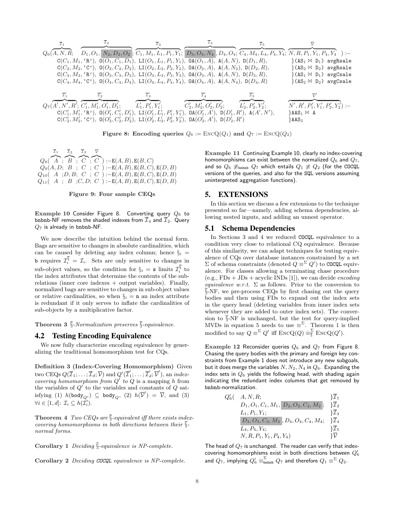$$
\begin{array}{llll} & & \overline{x}_1 & \overline{x}_2 & \overline{x}_3 & \overline{x}_4 & \overline{x}_5 & \overline{y} \\ Q_6(A,N,R; & D_1,O_1,N_2,D_2,O_2; G_1,M_1,L_1,P_1,Y_1; D_3,O_3,N_4,D_4,O_4; C_4,M_4,L_4,P_4,Y_4; \overline{N},R,P_1,Y_1,P_4,Y_4):= \\ & & C(C_1,M_1, 'R'), \ 0(O_1,C_1,D_1), \ \, LI(O_1,L_1,P_1,Y_1), \ 0A(O_1,A), \ A(A,N), \ D(D_1,R), & \} (AS_1\bowtie D_1) \ \, avgRsale \\ & & C(C_2,M_2, 'C'), \ 0(O_2,C_2,D_2), \ \, LI(O_2,L_2,P_2,Y_2), \ \, OA(O_2,A), \ A(A,N_2), \ D(D_2,R), & \} (AS_2\bowtie D_2) \ \, avgRsale \\ & & C(C_3,M_3, 'R'), \ 0(O_3,C_3,D_3), \ \, LI(O_3,L_3,P_3,Y_3), \ \, OA(O_3,A), \ A(A,N), \ D(D_3,R), & \} (AS_2\bowtie D_2) \ \, avgRsale \\ & & C(C_4,M_4, 'C'), \ 0(O_4,C_4,D_4), \ \, LI(O_4,L_4,P_4,Y_4), \ \, OA(O_4,A), \ A(A,N_4), \ D(D_4,R) & \} (AS_2\bowtie D_2) \ \, avgCsale \\ & & \overline{x}_1' & \overline{x}_2' & \overline{x}_3' & \overline{x}_4' & \overline{x}_5' & \overline{Y}' \\ & & \overline{C}_2' & \overline{x}_3' & \overline{x}_4' & \overline{x}_5' & \overline{Y}' \\ & & C_2', M_2', O_2', D_2'; & L_2', P_2', Y_2'; & N', R', P_1', Y_1', P_2', Y_2') : - \\ & & C(C_1', M_1', 'R'), \ \, O(C_1', C_1', D_1'), \ \ \, LI(O_1', L_1', P_1', Y_1'), \ \, OA(O_1', A'), \ \, DO(A_1', A'), \ \, LO(A', N'), \ \, LO(A', N'), \ \, A(A', N'), \ \
$$

Figure 8: Encoding queries  $Q_6 := \text{EncQ}(Q_1)$  and  $Q_7 := \text{EncQ}(Q_2)$ 

 $Q_8($  $\overline{z_1}$  $A$  ;  $\overline{z_{2}}$  $B$  ;  $\overline{z_3}$  $C$  ;  $\overline{\mathcal{L}}$  $C$ ) : $-E(A, B)$ ,  $E(B, C)$  $Q_9(A, D; B; C; C) := E(A, B), E(B, C), E(D, B)$  $Q_{10}(A; D, B; C; C) := E(A, B), E(B, C), E(D, B)$  $Q_{11}(A ; B ; C, D; C) := E(A, B), E(B, C), E(D, B)$ 

Figure 9: Four sample CEQs

Example 10 Consider Figure 8. Converting query  $Q_6$  to bnbnb-NF removes the shaded indexes from  $\overline{I}_4$  and  $\overline{I}_2$ . Query  $Q_7$  is already in bnbnb-NF.

We now describe the intuition behind the normal form. Bags are sensitive to changes in absolute cardinalities, which can be caused by deleting any index column; hence  $\S_i$  = **b** requires  $\mathcal{I}_i^{\S} = \mathcal{I}_i$ . Sets are only sensitive to changes in sub-object values, so the condition for  $\S_i = s$  limits  $\mathcal{I}_i^{\S}$  to the index attributes that determine the contents of the subrelations (inner core indexes + output variables). Finally, normalized bags are sensitive to changes in sub-object values or relative cardinalities, so when  $\S_i = \mathbf{n}$  an index attribute is redundant if it only serves to inflate the cardinalities of sub-objects by a multiplicative factor.

**Theorem 3**  $\overline{\S}$ -Normalization preserves  $\overline{\S}$ -equivalence.

### 4.2 Testing Encoding Equivalence

We now fully characterize encoding equivalence by generalizing the traditional homomorphism test for CQs.

Definition 3 (Index-Covering Homomorphism) Given two CEQs  $Q(\overline{\mathcal{I}}_1;\ldots;\overline{\mathcal{I}}_d;\overline{\mathcal{V}})$  and  $Q'(\overline{\mathcal{I}}'_1;\ldots;\overline{\mathcal{I}}'_d;\overline{\mathcal{V}}')$ , an *index*covering homomorphism from  $Q'$  to  $Q$  is a mapping h from the variables of  $Q'$  to the variables and constants of  $Q$  satisfying (1)  $h(\text{body}_{Q'}) \subseteq \text{body}_{Q}$ , (2)  $h(\overline{\mathcal{V}}') = \overline{\mathcal{V}}$ , and (3)  $\forall i \in [1, d] \colon \mathcal{I}_i \subseteq h(\mathcal{I}'_i).$ 

**Theorem 4** Two CEQs are  $\overline{\S}$ -equivalent iff there exists indexcovering homomorphisms in both directions between their  $\overline{\S}$ normal forms.

Corollary 1 Deciding  $\overline{\S}$ -equivalence is NP-complete.

Corollary 2 Deciding COCQL equivalence is NP-complete.

Example 11 Continuing Example 10, clearly no index-covering homomorphisms can exist between the normalized  $Q_6$  and  $Q_7$ , and so  $Q_6 \not\equiv_{\text{bnbb}} Q_7$  which entails  $Q_1 \not\equiv Q_2$  (for the COCQL versions of the queries, and also for the SQL versions assuming uninterpreted aggregation functions).

### 5. EXTENSIONS

In this section we discuss a few extensions to the technique presented so far—namely, adding schema dependencies, allowing nested inputs, and adding an unnest operator.

### 5.1 Schema Dependencies

In Sections 3 and 4 we reduced COCQL equivalence to a condition very close to relational CQ equivalence. Because of this similarity, we can adapt techniques for testing equivalence of CQs over database instances constrained by a set  $\Sigma$  of schema constraints (denoted  $Q \equiv^{\Sigma} Q'$ ) to COCQL equivalence. For classes allowing a terminating chase procedure  $(e.g., FDs + JDs + acyclic INDs [1]),$  we can decide *encoding* equivalence w.r.t.  $\Sigma$  as follows. Prior to the conversion to §-NF, we pre-process CEQs by first chasing out the query bodies and then using FDs to expand out the index sets in the query head (deleting variables from inner index sets whenever they are added to outer index sets). The conversion to §-NF is unchanged, but the test for query-implied MVDs in equation 5 needs to use  $\equiv^{\Sigma}$ . Theorem 1 is then modified to say  $Q \equiv^{\Sigma} Q'$  iff  $\text{EncQ}(Q) \equiv^{\Sigma}_{\overline{\S}} \text{EncQ}(Q').$ 

Example 12 Reconsider queries  $Q_6$  and  $Q_7$  from Figure 8. Chasing the query bodies with the primary and foreign key constraints from Example 1 does not introduce any new subgoals, but it does merge the variables  $N, N_2, N_4$  in  $Q_6$ . Expanding the index sets in  $Q_6$  yields the following head, with shading again indicating the redundant index columns that get removed by bnbnb-normalization.

$$
Q'_6 \left( \begin{array}{cc} A, N, R; & \} \overline{\mathcal{I}}_1 \\ D_1, O_1, C_1, M_1, D_2, O_2, C_2, M_2 \end{array}; \begin{array}{cc} \overline{\mathcal{I}}_2 \\ \overline{\mathcal{I}}_2 \\ \overline{\mathcal{I}}_3 \\ D_3, O_3, C_3, M_3 \end{array}; \begin{array}{cc} \overline{\mathcal{I}}_2 \\ D_4, O_4, C_4, M_4; & \begin{array}{cc} \overline{\mathcal{I}}_3 \\ \overline{\mathcal{I}}_4 \\ \overline{\mathcal{I}}_5 \\ N, R, P_1, Y_1, P_4, Y_4 \end{array} \end{array} \right)
$$

The head of  $Q_7$  is unchanged. The reader can verify that indexcovering homomorphisms exist in both directions between  $Q_6'$ and  $Q_7$ , implying  $Q_6' \equiv_{\text{bnbhb}}^{\Sigma} Q_7$  and therefore  $Q_1 \equiv^{\Sigma} Q_2$ .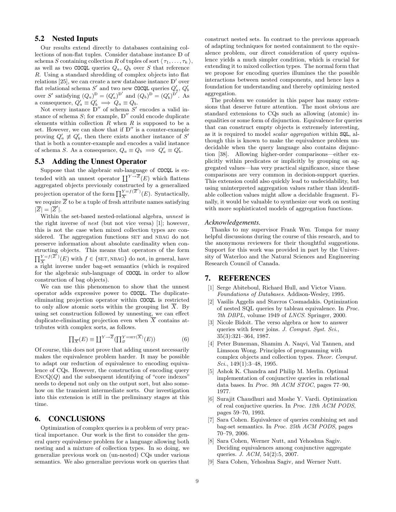# 5.2 Nested Inputs

Our results extend directly to databases containing collections of non-flat tuples. Consider database instance D of schema S containing collection R of tuples of sort  $\langle \tau_1, \ldots, \tau_k \rangle$ , as well as two COCQL queries  $Q_a$ ,  $Q_b$  over S that reference R. Using a standard shredding of complex objects into flat relations [25], we can create a new database instance  $\mathbb{D}'$  over flat relational schema  $S'$  and two new COCQL queries  $Q'_a$ ,  $Q'_b$ over S' satisfying  $(Q_a)^D = (Q'_a)^{D'}$  and  $(Q_b)^D = (Q'_b)^{D'}$ . As a consequence,  $Q'_a \equiv Q'_b \implies Q_a \equiv Q_b$ .

Not every instance  $\mathbb{D}''$  of schema  $S'$  encodes a valid instance of schema  $S$ ; for example,  $\mathbb{D}^{\prime\prime}$  could encode duplicate elements within collection  $R$  when  $R$  is supposed to be a set. However, we can show that if  $\mathbb{D}''$  is a counter-example proving  $Q'_a \neq Q'_b$ , then there exists another instance of S' that is both a counter-example and encodes a valid instance of schema S. As a consequence,  $Q_a \equiv Q_b \implies Q'_a \equiv Q'_b$ .

# 5.3 Adding the Unnest Operator

Suppose that the algebraic sub-language of COCQL is extended with an unnest operator  $\prod^{Y \to \overline{Z}}(E)$  which flattens aggregated objects previously constructed by a generalized projection operator of the form  $\prod_{i=1}^{Y-f(\overline{Z}')}$  $\frac{Y=f(Z)}{X}$  (*E*). Syntactically, we require  $\overline{Z}$  to be a tuple of fresh attribute names satisfying  $|\overline{Z}| = |\overline{Z}'|.$ 

Within the set-based nested-relational algebra, unnest is the right inverse of nest (but not vice versa) [1]; however, this is not the case when mixed collection types are considered. The aggregation functions SET and NBAG do not preserve information about absolute cardinality when constructing objects. This means that operators of the form  $\overline{\Pi}^{Y=f(\overline{Z}')}$  $\frac{Y}{X}^{F=f(Z)}(E)$  with  $f \in \{\text{SET}, \text{NBAG}\}\$  do not, in general, have a right inverse under bag-set semantics (which is required for the algebraic sub-language of COCQL in order to allow construction of bag objects).

We can use this phenomenon to show that the unnest operator adds expressive power to COCQL. The duplicateeliminating projection operator within COCQL is restricted to only allow atomic sorts within the grouping list  $\overline{X}$ . By using set construction followed by unnesting, we can effect duplicate-eliminating projection even when  $\overline{X}$  contains attributes with complex sorts, as follows.

$$
\prod_{\overline{X}}(E) \equiv \coprod^{Y \to \overline{Z}} (\prod_{\varnothing}^{Y = \text{SET}(\overline{X})} (E))
$$
 (6)

Of course, this does not prove that adding unnest necessarily makes the equivalence problem harder. It may be possible to adapt our reduction of equivalence to encoding equivalence of CQs. However, the construction of encoding query  $\text{EncQ}(Q)$  and the subsequent identifying of "core indexes" needs to depend not only on the output sort, but also somehow on the transient intermediate sorts. Our investigation into this extension is still in the preliminary stages at this time.

# 6. CONCLUSIONS

Optimization of complex queries is a problem of very practical importance. Our work is the first to consider the general query equivalence problem for a language allowing both nesting and a mixture of collection types. In so doing, we generalize previous work on (un-nested) CQs under various semantics. We also generalize previous work on queries that

construct nested sets. In contrast to the previous approach of adapting techniques for nested containment to the equivalence problem, our direct consideration of query equivalence yields a much simpler condition, which is crucial for extending it to mixed collection types. The normal form that we propose for encoding queries illumines the the possible interactions between nested components, and hence lays a foundation for understanding and thereby optimizing nested aggregation.

The problem we consider in this paper has many extensions that deserve future attention. The most obvious are standard extensions to CQs such as allowing (atomic) inequalities or some form of disjunction. Equivalence for queries that can construct empty objects is extremely interesting, as it is required to model scalar aggregation within SQL, although this is known to make the equivalence problem undecidable when the query language also contains disjunction [38]. Allowing higher-order comparisons—either explicitly within predicates or implicitly by grouping on aggregated values—has very practical significance, since these comparisons are very common in decision-support queries. This extension could also quickly lead to undecidability, but using uninterpreted aggregation values rather than identifiable collection values might allow a decidable fragment. Finally, it would be valuable to synthesize our work on nesting with more sophisticated models of aggregation functions.

### *Acknowledgements.*

Thanks to my supervisor Frank Wm. Tompa for many helpful discussions during the course of this research, and to the anonymous reviewers for their thoughtful suggestions. Support for this work was provided in part by the University of Waterloo and the Natural Sciences and Engineering Research Council of Canada.

### 7. REFERENCES

- [1] Serge Abiteboul, Richard Hull, and Victor Vianu. Foundations of Databases. Addison-Wesley, 1995.
- [2] Vasilis Aggelis and Stavros Cosmadakis. Optimization of nested SQL queries by tableau equivalence. In Proc. 7th DBPL, volume 1949 of LNCS. Springer, 2000.
- [3] Nicole Bidoit. The verso algebra or how to answer queries with fewer joins. J. Comput. Syst. Sci., 35(3):321–364, 1987.
- [4] Peter Buneman, Shamim A. Naqvi, Val Tannen, and Limsoon Wong. Principles of programming with complex objects and collection types. Theor. Comput. Sci.,  $149(1):3-48$ , 1995.
- [5] Ashok K. Chandra and Philip M. Merlin. Optimal implementation of conjunctive queries in relational data bases. In Proc. 9th ACM STOC, pages 77–90, 1977.
- [6] Surajit Chaudhuri and Moshe Y. Vardi. Optimization of real conjuctive queries. In Proc. 12th ACM PODS, pages 59–70, 1993.
- [7] Sara Cohen. Equivalence of queries combining set and bag-set semantics. In Proc. 25th ACM PODS, pages 70–79, 2006.
- [8] Sara Cohen, Werner Nutt, and Yehoshua Sagiv. Deciding equivalences among conjunctive aggregate queries. J. ACM, 54(2):5, 2007.
- [9] Sara Cohen, Yehoshua Sagiv, and Werner Nutt.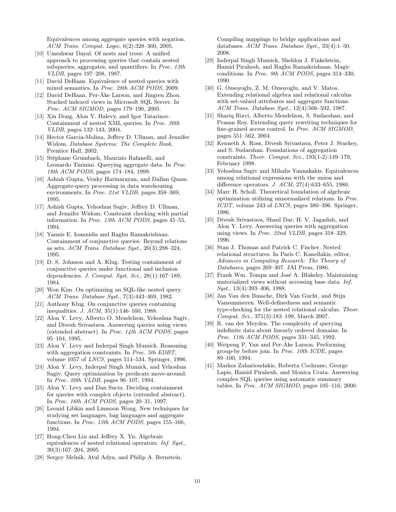Equivalences among aggregate queries with negation. ACM Trans. Comput. Logic, 6(2):328–360, 2005.

- [10] Umeshwar Dayal. Of nests and trees: A unified approach to processing queries that contain nested subqueries, aggregates, and quantifiers. In Proc. 13th VLDB, pages 197–208, 1987.
- [11] David DeHaan. Equivalence of nested queries with mixed semantics. In Proc. 28th ACM PODS, 2009.
- [12] David DeHaan, Per-Åke Larson, and Jingren Zhou. Stacked indexed views in Microsoft SQL Server. In Proc. ACM SIGMOD, pages 179–190, 2005.
- [13] Xin Dong, Alon Y. Halevy, and Igor Tatarinov. Containment of nested XML queries. In Proc. 30th VLDB, pages 132–143, 2004.
- [14] Hector Garcia-Molina, Jeffrey D. Ullman, and Jennifer Widom. Database Systems: The Complete Book. Prentice Hall, 2002.
- [15] Stëphane Grumbach, Maurizio Rafanelli, and Leonardo Tininini. Querying aggregate data. In Proc. 18th ACM PODS, pages 174–184, 1999.
- [16] Ashish Gupta, Venky Harinarayan, and Dallan Quass. Aggregate-query processing in data warehousing environments. In Proc. 21st VLDB, pages 358–369, 1995.
- [17] Ashish Gupta, Yehoshua Sagiv, Jeffrey D. Ullman, and Jennifer Widom. Constraint checking with partial information. In Proc. 13th ACM PODS, pages 45–55, 1994.
- [18] Yannis E. Ioannidis and Raghu Ramakrishnan. Containment of conjunctive queries: Beyond relations as sets. ACM Trans. Database Syst., 20(3):288–324, 1995.
- [19] D. S. Johnson and A. Klug. Testing containment of conjunctive queries under functional and inclusion dependencies. J. Comput. Syst. Sci., 28(1):167–189, 1984.
- [20] Won Kim. On optimizing an SQL-like nested query. ACM Trans. Database Syst., 7(3):443–469, 1982.
- [21] Anthony Klug. On conjunctive queries containing inequalities. J. ACM, 35(1):146–160, 1988.
- [22] Alon Y. Levy, Alberto O. Mendelzon, Yehoshua Sagiv, and Divesh Srivastava. Answering queries using views (extended abstract). In Proc.  $14$ th ACM PODS, pages 95–104, 1995.
- [23] Alon Y. Levy and Inderpal Singh Mumick. Reasoning with aggregation constraints. In Proc. 5th EDBT, volume 1057 of LNCS, pages 514–534. Springer, 1996.
- [24] Alon Y. Levy, Inderpal Singh Mumick, and Yehoshua Sagiv. Query optimization by predicate move-around. In Proc. 20th VLDB, pages 96–107, 1994.
- [25] Alon Y. Levy and Dan Suciu. Deciding containment for queries with complex objects (extended abstract). In Proc. 16th ACM PODS, pages 20–31, 1997.
- [26] Leonid Libkin and Limsoon Wong. New techniques for studying set languages, bag languages and aggregate functions. In Proc. 13th ACM PODS, pages 155–166, 1994.
- [27] Hong-Cheu Liu and Jeffery X. Yu. Algebraic equivalences of nested relational operators. Inf. Syst., 30(3):167–204, 2005.
- [28] Sergey Melnik, Atul Adya, and Philip A. Bernstein.

Compiling mappings to bridge applications and databases. ACM Trans. Database Syst., 33(4):1–50, 2008.

- [29] Inderpal Singh Mumick, Sheldon J. Finkelstein, Hamid Pirahesh, and Raghu Ramakrishnan. Magic conditions. In Proc. 9th ACM PODS, pages 314–330, 1990.
- [30] G. Ozsoyoglu, Z. M. Ozsoyoglu, and V. Matos. Extending relational algebra and relational calculus with set-valued attributes and aggregate functions. ACM Trans. Database Syst., 12(4):566–592, 1987.
- [31] Shariq Rizvi, Alberto Mendelzon, S. Sudarshan, and Prasan Roy. Extending query rewriting techniques for fine-grained access control. In Proc. ACM SIGMOD, pages 551–562, 2004.
- [32] Kenneth A. Ross, Divesh Srivastava, Peter J. Stuckey, and S. Sudarshan. Foundations of aggregation constraints. Theor. Comput. Sci., 193(1-2):149–179, February 1998.
- [33] Yehoshua Sagiv and Mihalis Yannakakis. Equivalences among relational expressions with the union and difference operators. J. ACM, 27(4):633–655, 1980.
- [34] Marc H. Scholl. Theoretical foundation of algebraic optimization utilizing unnormalized relations. In Proc. ICDT, volume 243 of LNCS, pages 380–396. Springer, 1986.
- [35] Divesh Srivastava, Shaul Dar, H. V. Jagadish, and Alon Y. Levy. Answering queries with aggregation using views. In Proc. 22nd VLDB, pages 318–329, 1996.
- [36] Stan J. Thomas and Patrick C. Fischer. Nested relational structures. In Paris C. Kanellakis, editor, Advances in Computing Research: The Theory of Databases, pages 269–307. JAI Press, 1986.
- [37] Frank Wm. Tompa and José A. Blakeley. Maintaining materialized views without accessing base data. Inf. Syst., 13(4):393–406, 1988.
- [38] Jan Van den Bussche, Dirk Van Gucht, and Stijn Vansummeren. Well-definedness and semantic type-checking for the nested relational calculus. Theor. Comput. Sci., 371(3):183–199, March 2007.
- [39] R. van der Meyden. The complexity of querying indefinite data about linearly ordered domains. In Proc. 11th ACM PODS, pages 331–345, 1992.
- [40] Weipeng P. Yan and Per-Åke Larson. Performing group-by before join. In Proc. 10th ICDE, pages 89–100, 1994.
- [41] Markos Zaharioudakis, Roberta Cochrane, George Lapis, Hamid Pirahesh, and Monica Urata. Answering complex SQL queries using automatic summary tables. In Proc. ACM SIGMOD, pages 105–116, 2000.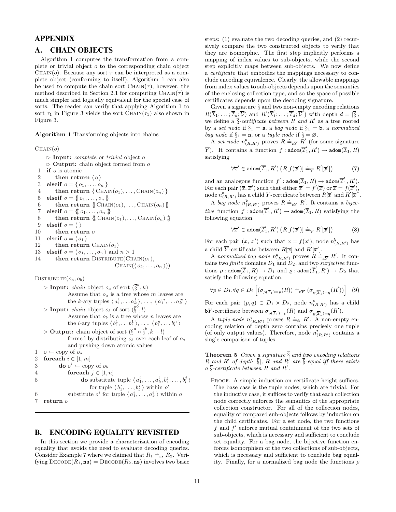# APPENDIX

# A. CHAIN OBJECTS

Algorithm 1 computes the transformation from a complete or trivial object o to the corresponding chain object CHAIN(*o*). Because any sort  $\tau$  can be interpreted as a complete object (conforming to itself), Algorithm 1 can also be used to compute the chain sort  $\text{CHAIN}(\tau)$ ; however, the method described in Section 2.1 for computing CHAIN( $\tau$ ) is much simpler and logically equivalent for the special case of sorts. The reader can verify that applying Algorithm 1 to sort  $\tau_1$  in Figure 3 yields the sort CHAIN( $\tau_1$ ) also shown in Figure 3.

Algorithm 1 Transforming objects into chains

 $CHAIN(o)$ 

 $\triangleright$  Input: *complete* or *trivial* object *o*  $\triangleright$  **Output:** chain object formed from o 1 if o is atomic 2 then return  $\langle o \rangle$ 3 elseif  $o = \{o_1, \ldots, o_n\}$ 4 then return  $\{ \text{CHAIN}(o_1), \ldots, \text{CHAIN}(o_n) \}$ 5 elseif  $o = \{ | o_1, \ldots, o_n | \}$ 6 then return  $\{ \text{CHAIN}(o_1), \ldots, \text{CHAIN}(o_n) \}$ 7 elseif  $o = \{\!\!\{\phi_1, \ldots, \phi_n\}\!\!\}$ 8 then return  $\{\n \begin{bmatrix} \text{F} & \text{CHAIN}(o_1), \ldots, \text{CHAIN}(o_n) \end{bmatrix}\n \}$ 9 elseif  $o = \langle \rangle$ 10 then return  $o$ 11 elseif  $o = \langle o_1 \rangle$ 12 then return  $\text{CHAIN}(o_1)$ 13 elseif  $o = \langle o_1, \ldots, o_n \rangle$  and  $n > 1$ 14 then return DISTRIBUTE(CHAIN $(o_1)$ ,  $\text{CHAIN}(\langle o_2, \ldots, o_n \rangle))$ 

 $DISTRIBUTE(o_a, o_b)$ 

\n- ▶ **Input:** chain object 
$$
o_a
$$
 of sort  $(\bar{S}^a, k)$  Assume that  $o_a$  is a tree whose *m* leaves are the *k*-ary tuples  $\langle a_1^1, \ldots a_k^1 \rangle$ , ...,  $\langle a_1^m, \ldots a_k^m \rangle$
\n- ▶ **Input:** chain object  $o_b$  of sort  $(\bar{S}^b, l)$  Assume that  $o_b$  is a tree whose *n* leaves are the *l*-ary tuples  $\langle b_1^1, \ldots b_l^1 \rangle$ , ...,  $\langle b_1^n, \ldots b_l^n \rangle$
\n- ▶ **Output:** chain object of sort  $(\bar{S}^a \circ \bar{S}^b, k + l)$  formed by distributing  $o_b$  over each leaf of  $o_a$  and pushing down atomic values
\n- 1  $o \leftarrow \text{copy of } o_a$
\n- 2 **foreach**  $i \in [1, m]$
\n- 3 **do**  $o^i \leftarrow \text{copy of } o_b$
\n- 4 **for each**  $j \in [1, n]$
\n- 5 **do** substitute tuple  $\langle a_1^i, \ldots, a_k^i, b_1^j, \ldots, b_l^j \rangle$  for tuple  $\langle b_1^i, \ldots, b_k^i \rangle$  within  $o^i$
\n- 6 **substitute**  $o^i$  for tuple  $\langle a_1^i, \ldots, a_k^i \rangle$  within  $o$
\n- 7 **return**  $o$
\n

# B. ENCODING EQUALITY REVISITED

In this section we provide a characterization of encoding equality that avoids the need to evaluate decoding queries. Equality that avoids the need to evaluate decoding queries.<br>Consider Example 7 where we claimed that  $R_1 \doteq_{\text{ns}} R_2$ . Verifying  $\text{DECODE}(R_1, \text{ns}) = \text{DECODE}(R_2, \text{ns})$  involves two basic

steps: (1) evaluate the two decoding queries, and (2) recursively compare the two constructed objects to verify that they are isomorphic. The first step implicitly performs a mapping of index values to sub-objects, while the second step explicitly maps between sub-objects. We now define a certificate that embodies the mappings necessary to conclude encoding equivalence. Clearly, the allowable mappings from index values to sub-objects depends upon the semantics of the enclosing collection type, and so the space of possible certificates depends upon the decoding signature.

Given a signature  $\overline{\S}$  and two non-empty encoding relations  $R(\overline{\mathcal{I}}_1;\ldots;\overline{\mathcal{I}}_d;\overline{\mathcal{V}})$  and  $R'(\overline{\mathcal{I}}'_1;\ldots;\overline{\mathcal{I}}'_d;\overline{\mathcal{V}}')$  with depth  $d=|\overline{\S}|,$ we define a  $\overline{\S}$ -certificate between R and R' as a tree rooted by a set node if  $\S_1 = s$ , a bag node if  $\S_1 = b$ , a normalized bag node if  $\S_1 = \mathbf{n}$ , or a tuple node if  $\overline{\S} = \emptyset$ .

A set node  $n_{(R,R')}^s$  proves  $R = \frac{1}{s}N$  (for some signature  $\overline{Y}$ ). It contains a function  $f : \text{adom}(\overline{\mathcal{I}}'_1, R') \to \text{adom}(\overline{\mathcal{I}}_1, R)$ satisfying

$$
\forall \overline{x}' \in \text{adom}(\overline{\mathcal{I}}_1', R') \left( R[f(\overline{x}')] \doteq_{\overline{Y}} R'[\overline{x}'] \right) \tag{7}
$$

and an analogous function  $f'$  :  $\mathtt{adom}(\overline{\mathcal{I}}_1,R) \to \mathtt{adom}(\overline{\mathcal{I}}'_1,R').$ For each pair  $(\overline{x}, \overline{x}')$  such that either  $\overline{x}' = f'(\overline{x})$  or  $\overline{x} = f(\overline{x}'),$ node  $n^{\mathsf{s}}_{(R,R')}$  has a child  $\overline{Y}$ -certificate between  $R[\overline{x}]$  and  $R'[\overline{x}']$ .

A bag node  $n_{(R,R')}^b$  proves  $R = \frac{1}{bY} R'$ . It contains a bijective function  $f : \text{adom}(\overline{\mathcal{I}}_1, R') \to \text{adom}(\overline{\mathcal{I}}_1, R)$  satisfying the following equation.

$$
\forall \overline{x}' \in \text{adom}(\overline{\mathcal{I}}_1', R') \left( R[f(\overline{x}')] \doteq_{\overline{Y}} R'[\overline{x}'] \right) \tag{8}
$$

For each pair  $(\bar{x}, \bar{x}')$  such that  $\bar{x} = f(\bar{x}')$ , node  $n^{\text{b}}_{(R,R')}$  has a child  $\overline{Y}$ -certificate between  $R[\overline{x}]$  and  $R'[\overline{x}']$ .

A normalized bag node  $n_{(R,R')}^n$  proves  $R =_{n\overline{Y}} R'$ . It contains two *finite* domains  $D_1$  and  $D_2$ , and two *surjective* functions  $\rho : \text{adom}(\overline{Z}_1, R) \to D_1$  and  $\varrho : \text{adom}(\overline{Z}'_1, R') \to D_2$  that satisfy the following equation.

$$
\forall p \in D_1. \forall q \in D_2 \left[ (\sigma_{\rho(\overline{\mathcal{I}}_1) = p}(R)) \doteq_{\mathbf{b} \overline{Y}} (\sigma_{\varrho(\overline{\mathcal{I}}_1') = q}(R')) \right] (9)
$$

For each pair  $(p, q) \in D_1 \times D_2$ , node  $n_{(R,R')}^n$  has a child **b**V-certificate between  $\sigma_{\rho(\overline{T}_1)=p}(R)$  and  $\sigma_{\rho(\overline{T}_1)=q}(R')$ .

A tuple node  $n_{(R,R')}^{\mathsf{t}}$  proves  $R \doteq_{\varnothing} R'$ . A non-empty encoding relation of depth zero contains precisely one tuple (of only output values). Therefore, node  $n^{\text{t}}_{(R,R')}$  contains a single comparison of tuples.

**Theorem 5** Given a signature  $\overline{\S}$  and two encoding relations R and R' of depth  $|\overline{\S}|$ , R and R' are  $\overline{\S}$ -equal iff there exists  $a \overline{\S}$ -certificate between R and R'.

PROOF. A simple induction on certificate height suffices. The base case is the tuple nodes, which are trivial. For the inductive case, it suffices to verify that each collection node correctly enforces the semantics of the appropriate collection constructor. For all of the collection nodes, equality of compared sub-objects follows by induction on the child certificates. For a set node, the two functions f and  $f'$  enforce mutual containment of the two sets of sub-objects, which is necessary and sufficient to conclude set equality. For a bag node, the bijective function enforces isomorphism of the two collections of sub-objects, which is necessary and sufficient to conclude bag equality. Finally, for a normalized bag node the functions  $\rho$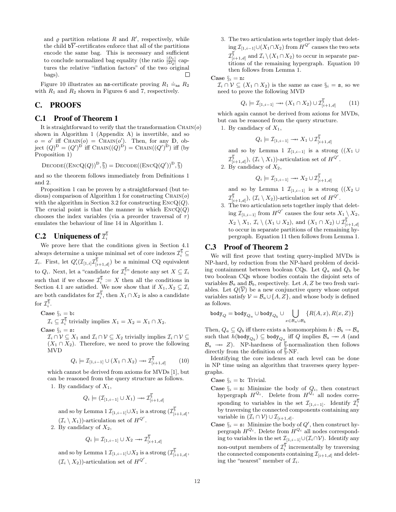and  $\varrho$  partition relations R and R', respectively, while the child  $\mathbf{b}\overline{Y}$ -certificates enforce that all of the partitions encode the same bag. This is necessary and sufficient to conclude normalized bag equality (the ratio  $\frac{|D_1|}{|D_2|}$  captures the relative "inflation factors" of the two original bags).  $\Box$ 

Figure 10 illustrates an **ns**-certificate proving  $R_1 \doteq_{\text{ns}} R_2$ with  $R_1$  and  $R_2$  shown in Figures 6 and 7, respectively.

# C. PROOFS

# C.1 Proof of Theorem 1

It is straightforward to verify that the transformation  $\text{CHAIN}(o)$ shown in Algorithm 1 (Appendix A) is invertible, and so  $o = o'$  iff CHAIN $(o) =$  CHAIN $(o')$ . Then, for any D, object  $(Q)^{\mathbb{D}} = (Q')^{\mathbb{D}}$  iff CHAIN $((Q)^{\mathbb{D}}) =$ CHAIN $((Q')^{\mathbb{D}})$  iff (by Proposition 1)

$$
\text{Decode}((\text{EncQ}(Q))^{\mathbb{D}}, \overline{\S}) = \text{Decode}((\text{EncQ}(Q'))^{\mathbb{D}}, \overline{\S})
$$

and so the theorem follows immediately from Definitions 1 and 2.

Proposition 1 can be proven by a straightforward (but tedious) comparison of Algorithm 1 for constructing  $\text{CHAIN}(o)$ with the algorithm in Section 3.2 for constructing  $\text{EncQ}(Q)$ . The crucial point is that the manner in which  $\text{EncQ}(Q)$ chooses the index variables (via a preorder traversal of  $\tau$ ) emulates the behaviour of line 14 in Algorithm 1.

# **C.2** Uniqueness of  $\overline{\tau}_i^{\S}$

We prove here that the conditions given in Section 4.1 always determine a unique minimal set of core indexes  $\mathcal{I}_i^{\overline{\S}} \subseteq$  $\mathcal{I}_i$ . First, let  $Q'_i(\mathcal{I}_{[1,i]}\mathcal{I}_{[i+1,d]}^{\S})$  be a minimal CQ equivalent to  $Q_i$ . Next, let a "candidate for  $\mathcal{I}_i^{\overline{\S}_i}$ " denote any set  $X \subseteq \mathcal{I}_i$ such that if we choose  $\mathcal{I}_i^{\S} := X$  then all the conditions in Section 4.1 are satisfied. We now show that if  $X_1, X_2 \subseteq \mathcal{I}_i$ are both candidates for  $\mathcal{I}_i^{\S}$ , then  $X_1 \cap X_2$  is also a candidate for  $\mathcal{I}_{i}^{\overline{\S}}$ .

Case  $\S_i = b$ :

 $\mathcal{I}_i \subseteq \mathcal{I}_i^{\S}$  trivially implies  $X_1 = X_2 = X_1 \cap X_2$ . Case  $\S_i = s$ :

 $\mathcal{I}_i \cap \mathcal{V} \subseteq X_1$  and  $\mathcal{I}_i \cap \mathcal{V} \subseteq X_2$  trivially implies  $\mathcal{I}_i \cap \mathcal{V} \subseteq$  $(X_1 \cap X_2)$ . Therefore, we need to prove the following MVD

$$
Q_i \models \mathcal{I}_{[1,i-1]} \cup (X_1 \cap X_2) \rightarrow \mathcal{I}_{[i+1,d]}^{\overline{\S}} \tag{10}
$$

which cannot be derived from axioms for MVDs [1], but can be reasoned from the query structure as follows.

1. By candidacy of  $X_1$ ,

$$
Q_i \models (\mathcal{I}_{[1,i-1]} \cup X_1) \longrightarrow \mathcal{I}_{[i+1,d]}^{\overline{\S}}
$$

and so by Lemma  $1 \mathcal{I}_{[1,i-1]} \cup X_1$  is a strong  $(\mathcal{I}_{[i+1,d]}^{\S},$  $(\mathcal{I}_i \setminus X_1)$ -articulation set of  $H^{Q'}$ .

2. By candidacy of  $X_2$ ,

$$
Q_i \models \mathcal{I}_{[1,i-1]} \cup X_2 \twoheadrightarrow \mathcal{I}_{[i+1,d]}^{\overline{\S}}
$$

and so by Lemma 1  $\mathcal{I}_{[1,i-1]}\cup X_2$  is a strong  $(\mathcal{I}_{[i+1,d]}^{\overline{\S}},$  $(\mathcal{I}_i \setminus X_2)$ -articulation set of  $H^{Q'}$ .

3. The two articulation sets together imply that deleting  $\mathcal{I}_{[1,i-1]}$ ∪ $(X_1 \cap X_2)$  from  $H^{Q'}$  causes the two sets  $\mathcal{I}_{[i+1,d]}^{\overline{\S}}$  and  $\mathcal{I}_i \setminus (X_1 \cap X_2)$  to occur in separate partitions of the remaining hypergraph. Equation 10 then follows from Lemma 1.

Case  $\S_i = n$ :

 $\mathcal{I}_i \cap \mathcal{V} \subseteq (X_1 \cap X_2)$  is the same as case  $\S_i = \mathbf{s}$ , so we need to prove the following MVD

$$
Q_i \models \mathcal{I}_{[1,i-1]} \rightarrow (X_1 \cap X_2) \cup \mathcal{I}_{[i+1,d]}^{\overline{\S}} \tag{11}
$$

which again cannot be derived from axioms for MVDs, but can be reasoned from the query structure.

1. By candidacy of  $X_1$ ,

$$
Q_i \models \mathcal{I}_{[1,i-1]} \rightarrow X_1 \cup \mathcal{I}_{[i+1,d]}^{\S}
$$

and so by Lemma 1  $\mathcal{I}_{[1,i-1]}$  is a strong  $((X_1 \cup$  $\mathcal{I}_{[i+1,d]}^{\overline{\S}}$ ,  $(\mathcal{I}_i \setminus X_1)$ )-articulation set of  $H^{Q'}$ .

2. By candidacy of  $X_2$ ,

$$
Q_i \models \mathcal{I}_{[1,i-1]} \rightarrow X_2 \cup \mathcal{I}_{[i+1,d]}^{\overline{\S}}
$$

and so by Lemma 1  $\mathcal{I}_{[1,i-1]}$  is a strong  $((X_2 \cup$  $\mathcal{I}_{[i+1,d]}^{\overline{\S}}$ ,  $(\mathcal{I}_i \setminus X_2)$ )-articulation set of  $H^{Q'}$ .

3. The two articulation sets together imply that deleting  $\mathcal{I}_{[1,i-1]}$  from  $H^{Q'}$  causes the four sets  $X_1 \setminus X_2$ ,  $X_2 \setminus X_1, \mathcal{I}_i \setminus (X_1 \cup X_2)$ , and  $(X_1 \cap X_2) \cup \mathcal{I}_{[i+1,d]}^{\overline{\S}}$ to occur in separate partitions of the remaining hypergraph. Equation 11 then follows from Lemma 1.

# C.3 Proof of Theorem 2

We will first prove that testing query-implied MVDs is NP-hard, by reduction from the NP-hard problem of deciding containment between boolean CQs. Let  $Q_a$  and  $Q_b$  be two boolean CQs whose bodies contain the disjoint sets of variables  $\mathcal{B}_a$  and  $\mathcal{B}_b$ , respectively. Let A, Z be two fresh variables. Let  $Q(\overline{V})$  be a new conjunctive query whose output variables satisfy  $\mathcal{V} = \mathcal{B}_a \cup \{A, Z\}$ , and whose body is defined as follows.  $\ddot{\phantom{1}}$ 

$$
\mathtt{body}_{Q} = \mathtt{body}_{Q_a} \cup \mathtt{body}_{Q_b} \cup \bigcup_{x \in \mathcal{B}_a \cup \mathcal{B}_b} \{R(A,x), R(x,Z)\}
$$

Then,  $Q_a \subseteq Q_b$  iff there exists a homomorphism  $h : \mathcal{B}_b \to \mathcal{B}_a$ such that  $h(\text{body}_{Q_b}) \subseteq \text{body}_{Q_a}$  iff  $Q$  implies  $\mathcal{B}_a \to A$  (and  $\mathcal{B}_a \rightarrow Z$ ). NP-hardness of §-normalization then follows directly from the definition of  $\overline{\S}$ -NF.

Identifying the core indexes at each level can be done in NP time using an algorithm that traverses query hypergraphs.

Case  $\S_i = b$ : Trivial.

- **Case**  $\S_i$  = **n:** Minimize the body of  $Q_i$ , then construct hypergraph  $H^{Q_i}$ . Delete from  $H^{Q_i}$  all nodes corresponding to variables in the set  $\mathcal{I}_{[1,i-1]}$ . Identify  $\mathcal{I}_i^{\S}$ by traversing the connected components containing any variable in  $(\mathcal{I}_i \cap \mathcal{V}) \cup \mathcal{I}_{[i+1,d]}.$
- **Case**  $\S_i = \mathbf{s}$ : Minimize the body of  $Q'$ , then construct hypergraph  $H^{Q_i}$ . Delete from  $H^{Q_i}$  all nodes corresponding to variables in the set  $\mathcal{I}_{[1,i-1]} \cup (\mathcal{I}_i \cap \mathcal{V})$ . Identify any non-output members of  $\mathcal{I}_i^{\S}$  incrementally by traversing the connected components containing  $\mathcal{I}_{[i+1,d]}$  and deleting the "nearest" member of  $\mathcal{I}_i$ .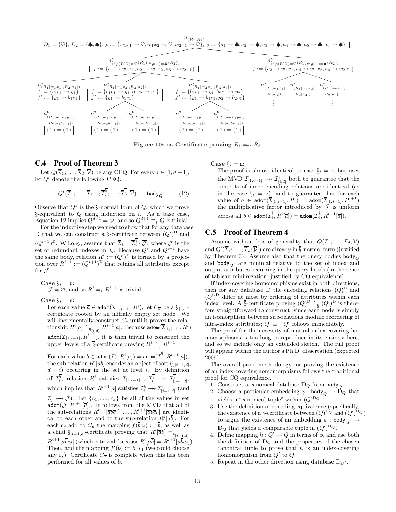

Figure 10: ns-Certificate proving  $R_1 \doteq_{\text{ns}} R_2$ 

### C.4 Proof of Theorem 3

Let  $Q(\overline{\mathcal{I}}_1; \ldots; \overline{\mathcal{I}}_d; \overline{\mathcal{V}})$  be any CEQ. For every  $i \in [1, d+1]$ , let  $Q^i$  denote the following CEQ.

$$
Q^{i}(\overline{\mathcal{I}}_1; \ldots; \overline{\mathcal{I}}_{i-1}; \overline{\mathcal{I}}_i^{\overline{\S}}, \ldots; \overline{\mathcal{I}}_d^{\overline{\S}}, \overline{\mathcal{V}}) := \text{body}_Q \qquad (12)
$$

Observe that  $Q^1$  is the  $\overline{\S}$ -normal form of Q, which we prove  $\overline{\S}$ -equivalent to Q using induction on i. As a base case, Equation 12 implies  $Q^{d+1} = Q$ , and so  $Q^{d+1} \equiv \frac{Q}{\overline{S}} Q$  is trivial.

For the inductive step we need to show that for any database D that we can construct a  $\overline{\S}$ -certificate between  $(Q^i)$ <sup>D</sup> and  $(Q^{i+1})^{\mathbb{D}}$ . W.l.o.g., assume that  $\overline{Z}_i = \overline{Z}_i^{\S} \cdot \overline{\mathcal{J}}$ , where  $\mathcal J$  is the set of redundant indexes in  $\mathcal{I}_i$ . Because  $Q^i$  and  $Q^{i+1}$  have the same body, relation  $R^i := (Q^i)^{\mathbb{D}}$  is formed by a projection over  $R^{i+1} := (Q^{i+1})^{\mathbb{D}}$  that retains all attributes except for  $\mathcal{J}.$ 

Case 
$$
\S_i = b
$$
:  
\n $\mathcal{J} = \emptyset$ , and so  $R^i \doteq_{\overline{S}} R^{i+1}$  is trivial.

Case  $\S_i = s$ :

For each value  $\overline{a} \in \text{adom}(\overline{I}_{[1,i-1]}, R^i)$ , let  $C_{\overline{a}}$  be a  $\overline{\S}_{[i,d]}$ certificate rooted by an initially empty set node. will incrementally construct  $C_{\overline{a}}$  until it proves the relawhich the entriestimal construct  $C_a$  diffinite proves the relationship  $R^i[\overline{a}] \doteq_{\overline{\S}_{[i,d]}} R^{i+1}[\overline{a}]$ . Because  $\text{adom}(\overline{\mathcal{I}}_{[1,i-1]}, R^i)$ adom $(\overline{\mathcal{I}}_{[1,i-1]}, R^{i+1}),$  it is then trivial to construct the upper levels of a  $\overline{\S}$ -certificate proving  $R^i \doteq_{\overline{\S}} R^{i+1}$ .

For each value  $\overline{b}\in\texttt{adom}(\overline{\mathcal{I}}_i^{\S},R^i[\overline{a}])=\texttt{adom}(\overline{\mathcal{I}}_i^{\S},R^{i+1}[\overline{a}]),$ the sub-relation  $R^i[\overline{ab}]$  encodes an object of sort  $(\S_{[i+1,d]},\S_{[i+1,d]})$  $d - i$ ) occurring in the set at level i. By definition of  $\mathcal{I}_{i}^{\S}$ , relation  $R^{i}$  satisfies  $\mathcal{I}_{[1,i-1]} \cup \mathcal{I}_{i}^{\S} \rightarrow \mathcal{I}_{[i+1,d]}^{\S}$ which implies that  $R^{i+1}[\overline{a}]$  satisfies  $\mathcal{I}_{i}^{\overline{\S}} \longrightarrow \mathcal{I}_{[i+1,d]}^{\overline{\S}}$  (and  $\mathcal{I}_{i}^{\overline{\S}} \longrightarrow \mathcal{J}$ ). Let  $\{\overline{c}_{1}, \ldots, \overline{c}_{k}\}$  be all of the values in set  $\mathsf{adom}(\overline{\mathcal{J}}, R^{i+1}|\overline{a}|)$ . It follows from the MVD that all of the sub-relations  $R^{i+1}[\overline{a}\overline{b}\overline{c}_1], \ldots, R^{i+1}[\overline{a}\overline{b}\overline{c}_k]$  are identical to each other and to the sub-relation  $R^i[\overline{ab}]$ . For each  $\bar{c}_j$  add to  $C_{\bar{a}}$  the mapping  $f(\bar{b}\bar{c}_j) := \bar{b}$ , as well as a child  $\overline{\S}_{[i+1,d]}$ -certificate proving that  $R^i[\overline{a}\overline{b}] \doteq \overline{\S}_{[i+1,d]}$  $R^{i+1}[\overline{a}\overline{b}\overline{c}_j]$  (which is trivial, because  $R^i[\overline{a}\overline{b}] = R^{i+1}[\overline{a}\overline{b}\overline{c}_j]$ ). Then, add the mapping  $f'(\overline{b}) := \overline{b} \cdot \overline{c}_1$  (we could choose any  $\bar{c}_j$ ). Certificate  $C_{\bar{a}}$  is complete when this has been performed for all values of  $\bar{b}$ .

Case  $\S_i = n$ :

The proof is almost identical to case  $\S_i = s$ , but uses the MVD  $\mathcal{I}_{[1,i-1]} \longrightarrow \mathcal{I}_{[i,d]}^{\S}$  both to guarantee that the contents of inner encoding relations are identical (as in the case  $\S_i = s$ , and to guarantee that for each value of  $\overline{a} \in \texttt{adom}(\overline{\mathcal{I}}_{[1,i-1]}, R^i) = \texttt{adom}(\overline{\mathcal{I}}_{[1,i-1]}, R^{i+1})$ the multiplicative factor introduced by  $\hat{J}$  is uniform  $\arccos$  all  $\overline{b}\in \texttt{adom}(\overline{\mathcal{I}^{\overline{\S}}_i},R^i[\overline{a}])=\texttt{adom}(\overline{\mathcal{I}^{\overline{\S}}_i},R^{i+1}[\overline{a}]).$ 

### C.5 Proof of Theorem 4

Assume without loss of generality that  $Q(\overline{\mathcal{I}}_1;\ldots;\overline{\mathcal{I}}_d;\overline{\mathcal{V}})$ and  $Q'(\overline{\mathcal{I}}'_1;\ldots;\overline{\mathcal{I}}'_d;\overline{\mathcal{V}}')$  are already in  $\overline{\S}$ -normal form (justified by Theorem 3). Assume also that the query bodies  $\text{body}_Q$ and body<sub>Q</sub>, are minimal relative to the set of index and output attributes occurring in the query heads (in the sense of tableau minimization; justified by CQ equivalence).

If index-covering homomorphisms exist in both directions, then for any database  $\mathbb D$  the encoding relations  $(Q)^{\mathbb D}$  and  $(Q')^D$  differ at most by ordering of attributes within each index level. A  $\bar{\S}$ -certificate proving  $(Q)^D \doteq_{\bar{\S}} (Q')^D$  is therefore straightforward to construct, since each node is simply an isomorphism between sub-relations modulo reordering of intra-index attributes;  $Q \equiv_{\overline{s}} Q'$  follows immediately.

The proof for the necessity of mutual index-covering homomorphisms is too long to reproduce in its entirety here, and so we include only an extended sketch. The full proof will appear within the author's Ph.D. dissertation (expected 2009).

The overall proof methodology for proving the existence of an index-covering homomorphisms follows the traditional proof for CQ equivalence.

- 1. Construct a canonical database  $\mathbb{D}_Q$  from body<sub> $O$ </sub>.
- 2. Choose a particular embedding  $\gamma$  : body<sub>Q</sub>  $\rightarrow \mathbb{D}_Q$  that yields a "canonical tuple" within  $(Q)^{D_Q}$ .
- 3. Use the definition of encoding equivalence (specifically, the existence of a  $\overline{\S}$ -certificate between  $(Q)^{D_Q}$  and  $(Q')^{D_Q}$ ) to argue the existence of an embedding  $\phi$  : body<sub>Q'</sub>  $\rightarrow$  $\mathbb{D}_Q$  that yields a comparable tuple in  $(Q')^{\mathbb{D}_Q}$ .
- 4. Define mapping  $h: Q' \to Q$  in terms of  $\phi$ , and use both the definition of  $\mathbb{D}_{\mathcal{Q}}$  and the properties of the chosen canonical tuple to prove that  $h$  is an index-covering homomorphism from  $Q'$  to  $Q$ .
- 5. Repeat in the other direction using database  $\mathbb{D}_{Q'}$ .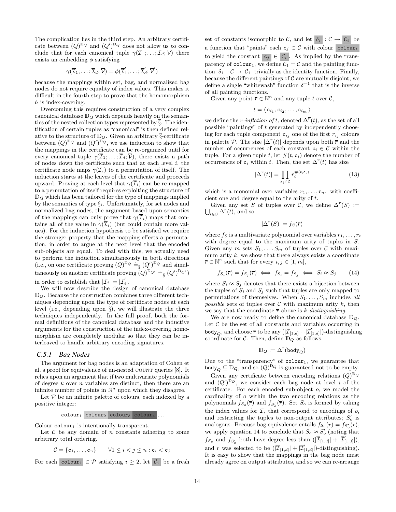The complication lies in the third step. An arbitrary certificate between  $(Q)^{D_Q}$  and  $(Q')^{D_Q}$  does not allow us to conclude that for each canonical tuple  $\gamma(\overline{I}_1;\ldots;\overline{I}_d;\overline{V})$  there exists an embedding  $\phi$  satisfying

$$
\gamma(\overline{\mathcal{I}}_1;\ldots;\overline{\mathcal{I}}_d;\overline{\mathcal{V}})=\phi(\overline{\mathcal{I}}'_1;\ldots;\overline{\mathcal{I}}'_d;\overline{\mathcal{V}}')
$$

because the mappings within set, bag, and normalized bag nodes do not require equality of index values. This makes it difficult in the fourth step to prove that the homomorphism h is index-covering.

Overcoming this requires construction of a very complex canonical database  $\mathbb{D}_{\mathcal{Q}}$  which depends heavily on the semantics of the nested collection types represented by  $\overline{\S}$ . The identification of certain tuples as "canonical" is then defined relative to the structure of  $\mathbb{D}_{\mathcal{Q}}$ . Given an arbitrary §-certificate between  $(Q)^{D_Q}$  and  $(Q')^{D_Q}$ , we use induction to show that the mappings in the certificate can be re-organized until for every canonical tuple  $\gamma(\overline{\mathcal{I}}_1;\ldots;\overline{\mathcal{I}}_d;\overline{\mathcal{V}})$ , there exists a path of nodes down the certificate such that at each level  $i$ , the certificate node maps  $\gamma(\overline{I}_i)$  to a permutation of itself. The induction starts at the leaves of the certificate and proceeds upward. Proving at each level that  $\gamma(\overline{I}_i)$  can be re-mapped to a permutation of itself requires exploiting the structure of  $\mathbb{D}_Q$  which has been tailored for the type of mappings implied by the semantics of type  $\S_i$ . Unfortunately, for set nodes and normalized bag nodes, the argument based upon semantics of the mappings can only prove that  $\gamma(\overline{I}_i)$  maps that contains all of the value in  $\gamma(\overline{I}_i)$  (but could contain more values). For the induction hypothesis to be satisfied we require the stronger property that the mapping effects a permutation, in order to argue at the next level that the encoded sub-objects are equal. To deal with this, we actually need to perform the induction simultaneously in both directions (i.e., on one certificate proving  $(Q)^{D_Q} \doteq_{\overline{S}} (Q')^{D_Q}$  and simultaneously on another certificate proving  $(Q)^D Q' \doteq_{\overline{s}} (Q')^D q'$ in order to establish that  $|\overline{\mathcal{I}}_i| = |\overline{\mathcal{I}}'_i|$ .

We will now describe the design of canonical database  $\mathbb{D}_Q$ . Because the construction combines three different techniques depending upon the type of certificate nodes at each level (i.e., depending upon  $\overline{\S}$ ), we will illustrate the three techniques independently. In the full proof, both the formal definitions of the canonical database and the inductive arguments for the construction of the index-covering homomorphism are completely modular so that they can be interleaved to handle arbitrary encoding signatures.

### *C.5.1 Bag Nodes*

The argument for bag nodes is an adaptation of Cohen et al.'s proof for equivalence of un-nested COUNT queries [8]. It relies upon an argument that if two multivariate polynomials of degree  $k$  over  $n$  variables are distinct, then there are an infinite number of points in  $\mathbb{N}^n$  upon which they disagree.

Let  $P$  be an infinite palette of colours, each indexed by a positive integer:

$$
\verb"colour"\_1\>\verb"colour"\_2\>\verb"colour"\_3\>\verb"colour"\_4\>\ldots
$$

Colour  $\text{colour}_1$  is intentionally transparent.

Let  $C$  be any domain of n constants adhering to some arbitrary total ordering.

$$
\mathcal{C} = \{c_1, \ldots, c_n\} \qquad \forall 1 \leq i < j \leq n : c_i < c_j
$$

For each colouri  $\in \mathcal{P}$  satisfying  $i \geq 2$ , let  $\mathcal{C}_i$  be a fresh

set of constants isomorphic to C, and let  $\delta_i : \mathcal{C} \to \mathcal{C}_i$  be a function that "paints" each  $c_i \in \mathcal{C}$  with colour colour<sub>i</sub> to yield the constant  $c_j \in C_i$ . As implied by the transparency of  $\text{colour}_1$ , we define  $C_1 = C$  and the painting function  $\delta_1 : \mathcal{C} \to \mathcal{C}_1$  trivially as the identity function. Finally, because the different paintings of  $\mathcal C$  are mutually disjoint, we define a single "whitewash" function  $\delta^{-1}$  that is the inverse of all painting functions.

Given any point  $\bar{r} \in \mathbb{N}^n$  and any tuple t over C,

$$
t = \langle \, {\textsf{c}}_{i_1}, {\textsf{c}}_{i_2}, \ldots, {\textsf{c}}_{i_m} \, \rangle
$$

we define the  $\bar{r}$ -inflation of t, denoted  $\Delta^{\bar{r}}(t)$ , as the set of all possible "paintings" of t generated by independently choosing for each tuple component  $c_{i_j}$  one of the first  $r_{i_j}$  colours in palette P. The size  $|\Delta^{\overline{r}}(t)|$  depends upon both  $\overline{r}$  and the number of occurrences of each constant  $c_i \in \mathcal{C}$  within the tuple. For a given tuple t, let  $\#(t, c_i)$  denote the number of occurrences of  $c_i$  within t. Then, the set  $\Delta^{\overline{r}}(t)$  has size

$$
|\Delta^{\overline{r}}(t)| = \prod_{c_i \in \mathcal{C}} r_i^{\#(t, c_i)} \tag{13}
$$

which is a monomial over variables  $r_1, \ldots, r_n$ . with coefficient one and degree equal to the arity of t.

Given any set S of tuples over C, we define  $\Delta^{\overline{r}}(S) :=$ Given any set 5<br> $\bigcup_{t \in S} \Delta^{\overline{r}}(t)$ , and so

$$
|\Delta^{\overline{r}}(S)| = f_S(\overline{r})
$$

where  $f_S$  is a multivariate polynomial over variables  $r_1, \ldots, r_n$ with degree equal to the maximum arity of tuples in S. Given any m sets  $S_1, \ldots, S_m$  of tuples over  $\mathcal C$  with maximum arity  $k$ , we show that there always exists a coordinate  $\overline{r} \in \mathbb{N}^n$  such that for every  $i, j \in [1, m],$ 

$$
f_{S_i}(\overline{r}) = f_{S_j}(\overline{r}) \iff f_{S_i} = f_{S_j} \iff S_i \approx S_j \tag{14}
$$

where  $S_i \approx S_j$  denotes that there exists a bijection between the tuples of  $S_i$  and  $S_j$  such that tuples are only mapped to permutations of themselves. When  $S_1, \ldots, S_m$  includes all possible sets of tuples over  $\mathcal C$  with maximum arity k, then we say that the coordinate  $\bar{r}$  above is k-distinguishing.

We are now ready to define the canonical database  $\mathbb{D}_{\mathcal{Q}}$ . Let  $C$  be the set of all constants and variables occurring in body $_Q$ , and choose  $\overline{r}$  to be any  $(|\overline{\mathcal{I}}_{[1,d]}|+|\overline{\mathcal{I}}'_{[1,d]}|)$ -distinguishing coordinate for  $\mathcal{C}$ . Then, define  $\mathbb{D}_Q$  as follows.

$$
\mathbb{D}_Q:=\Delta^{\overline{r}}(\mathtt{body}_Q)
$$

Due to the "transparency" of  $color_1$ , we guarantee that body<sub>Q</sub>  $\subseteq$  D<sub>Q</sub>, and so  $(Q)^{D_Q}$  is guaranteed not to be empty.

Given any certificate between encoding relations  $(Q)^{D_Q}$ and  $(Q')^{\mathbb{D}_Q}$ , we consider each bag node at level i of the certificate. For each encoded sub-object o, we model the cardinality of o within the two encoding relations as the polynomials  $f_{S_o}(\bar{r})$  and  $f_{S_o'}(\bar{r})$ . Set  $S_o$  is formed by taking the index values for  $\overline{\mathcal{I}}_i$  that correspond to encodings of o, and restricting the tuples to non-output attributes;  $S'_{o}$  is analogous. Because bag equivalence entails  $f_{S_o}(\bar{r}) = f_{S_o'}(\bar{r}),$ we apply equation 14 to conclude that  $S_o \approx S'_o$  (noting that  $f_{S_o}$  and  $f_{S_o'}$  both have degree less than  $(|\overline{\mathcal{I}}_{[1,d]}| + |\overline{\mathcal{I}}_{[1,d]}'|),$ and  $\bar{r}$  was selected to be  $(|\bar{\mathcal{I}}_{[1,d]}| + |\bar{\mathcal{I}}'_{[1,d]}|)$ -distinguishing). It is easy to show that the mappings in the bag node must already agree on output attributes, and so we can re-arrange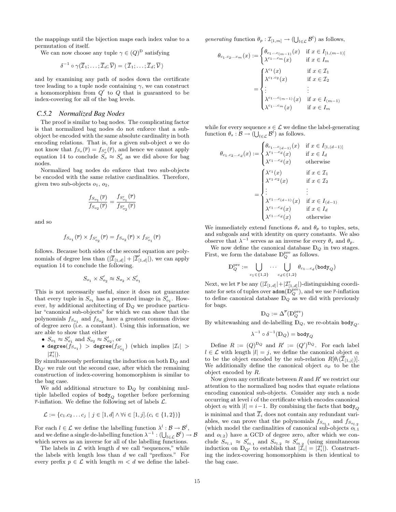the mappings until the bijection maps each index value to a permutation of itself.

We can now choose any tuple  $\gamma \in (Q)^{\mathbb{D}}$  satisfying

$$
\delta^{-1} \circ \gamma(\overline{\mathcal{I}}_1; \ldots; \overline{\mathcal{I}}_d; \overline{\mathcal{V}}) = \langle \overline{\mathcal{I}}_1; \ldots; \overline{\mathcal{I}}_d; \overline{\mathcal{V}} \rangle
$$

and by examining any path of nodes down the certificate tree leading to a tuple node containing  $\gamma$ , we can construct a homomorphism from  $Q'$  to  $Q$  that is guaranteed to be index-covering for all of the bag levels.

### *C.5.2 Normalized Bag Nodes*

The proof is similar to bag nodes. The complicating factor is that normalized bag nodes do not enforce that a subobject be encoded with the same absolute cardinality in both encoding relations. That is, for a given sub-object o we do not know that  $f_{S_o}(\bar{r}) = f_{S_o'}(\bar{r})$ , and hence we cannot apply equation 14 to conclude  $S_0 \approx S'_0$  as we did above for bag nodes.

Normalized bag nodes do enforce that two sub-objects be encoded with the same relative cardinalities. Therefore, given two sub-objects  $o_1$ ,  $o_2$ ,

$$
\frac{f_{S_{o_1}}(\overline{r})}{f_{S_{o_2}}(\overline{r})} = \frac{f_{S'_{o_1}}(\overline{r})}{f_{S'_{o_2}}(\overline{r})}
$$

and so

$$
f_{S_{o_1}}(\overline{r})\times f_{S'_{o_2}}(\overline{r})=f_{S_{o_2}}(\overline{r})\times f_{S'_{o_1}}(\overline{r})
$$

follows. Because both sides of the second equation are polynomials of degree less than  $(|\overline{\mathcal{I}}_{[1,d]}| + |\overline{\mathcal{I}}'_{[1,d]}|)$ , we can apply equation 14 to conclude the following.

$$
S_{o_1}\times S'_{o_2}\approx S_{o_2}\times S'_{o_1}
$$

This is not necessarily useful, since it does not guarantee that every tuple in  $S_{o_1}$  has a permuted image in  $S'_{o_1}$ . However, by additional architecting of  $\mathbb{D}_Q$  we produce particular "canonical sub-objects" for which we can show that the polynomials  $f_{S_{o_1}}$  and  $f_{S_{o_2}}$  have a greatest common divisor of degree zero (i.e. a constant). Using this information, we are able to show that either

- $S_{o_1} \approx S'_{o_1}$  and  $S_{o_2} \approx S'_{o_2}$ , or
- $\bullet$  degree $(f_{S_{o_1}})$   $>$  degree $(f_{S_{o_1}'})$  (which implies  $|\mathcal{I}_i|$   $>$  $|\mathcal{I}'_i|$ .

By simultaneously performing the induction on both  $D_Q$  and  $\mathbb{D}_{Q'}$  we rule out the second case, after which the remaining construction of index-covering homomorphism is similar to the bag case.

We add additional structure to  $\mathbb{D}_Q$  by combining multiple labelled copies of  $body_Q$  together before performing  $\overline{r}$ -inflation. We define the following set of labels  $\mathcal{L}$ .

$$
\mathcal{L} := \{c_1.c_2 \dots c_j \mid j \in [1, d] \land \forall i \in [1, j]. (c_i \in \{1, 2\})\}
$$

For each  $l \in \mathcal{L}$  we define the labelling function  $\lambda^l : \mathcal{B} \to \mathcal{B}^l$ , For each  $l \in \mathcal{L}$  we define the labelling function  $\lambda^{-1} : \mathcal{O} \to \mathcal{O}$ ,<br>and we define a single de-labelling function  $\lambda^{-1} : (\bigcup_{l \in \mathcal{L}} \mathcal{B}^l) \to \mathcal{B}$ which serves as an inverse for all of the labelling functions.

The labels in  $\mathcal L$  with length  $d$  we call "sequences," while the labels with length less than  $d$  we call "prefixes." For every prefix  $p \in \mathcal{L}$  with length  $m < d$  we define the labelgenerating function  $\theta_p : \mathcal{I}_{[1,m]} \to (\bigcup_{l \in \mathcal{L}} \mathcal{B}^l)$  as follows,

$$
\theta_{c_1.c_2...c_m}(x) := \begin{cases} \theta_{c_1...c_{(m-1)}}(x) & \text{if } x \in I_{[1,(m-1)]} \\ \lambda^{c_1...c_m}(x) & \text{if } x \in I_m \end{cases}
$$

$$
= \begin{cases} \lambda^{c_1}(x) & \text{if } x \in I_1 \\ \lambda^{c_1.c_2}(x) & \text{if } x \in I_2 \\ \vdots & \vdots \\ \lambda^{c_1...c_{(m-1)}}(x) & \text{if } x \in I_{(m-1)} \\ \lambda^{c_1...c_m}(x) & \text{if } x \in I_m \end{cases}
$$

while for every sequence  $s \in \mathcal{L}$  we define the label-generating function  $\theta_s : \mathcal{B} \to (\bigcup_{l \in \mathcal{L}} \mathcal{B}^l)$  as follows.

$$
\theta_{c_1.c_2...c_d}(x) := \begin{cases} \theta_{c_1...c_{(d-1)}}(x) & \text{if } x \in I_{[1,(d-1)]} \\ \lambda^{c_1...c_d}(x) & \text{if } x \in I_d \\ \lambda^{c_1...c_d}(x) & \text{otherwise} \end{cases}
$$

$$
= \begin{cases} \lambda^{c_1}(x) & \text{if } x \in I_1 \\ \lambda^{c_1.c_2}(x) & \text{if } x \in I_2 \\ \vdots & \vdots \\ \lambda^{c_1...c_{(d-1)}}(x) & \text{if } x \in I_{(d-1)} \\ \lambda^{c_1...c_d}(x) & \text{if } x \in I_d \\ \lambda^{c_1...c_d}(x) & \text{otherwise} \end{cases}
$$

We immediately extend functions  $\theta_s$  and  $\theta_p$  to tuples, sets, and subgoals and with identity on query constants. We also observe that  $\lambda^{-1}$  serves as an inverse for every  $\theta_s$  and  $\theta_p$ .

We now define the canonical database  $\mathbb{D}_{Q}$  in two stages. First, we form the database  $\mathbb{D}_Q^{\text{pre}}$  as follows.

$$
\mathbb{D}_Q^{\mathrm{pre}} := \bigcup_{c_1 \in \{1,2\}} \cdots \bigcup_{c_d \in \{1,2\}} \theta_{c_1...c_d}(\mathtt{body}_Q)
$$

Next, we let  $\bar{r}$  be any  $(|\mathcal{I}_{[1,d]}|+|\mathcal{I}_{[1,d]}'|)$ -distinguishing coordinate for sets of tuples over  $\mathsf{adom}(\mathbb{D}_Q^{\mathrm{pre}})$ , and we use  $\overline{r}$ -inflation to define canonical database  $\mathbb{D}_Q$  as we did with previously for bags.

$$
\mathbb{D}_Q:=\Delta^{\overline{r}}(\mathbb{D}_Q^{\mathrm{pre}})
$$

By whitewashing and de-labelling  $\mathbb{D}_Q$ , we re-obtain body<sub> $O$ </sub>.

$$
\lambda^{-1}\circ\delta^{-1}(\mathbb{D}_{Q})=\mathsf{body}_{Q}
$$

Define  $R := (Q)^{D_Q}$  and  $R' := (Q')^{D_Q}$ . For each label  $l \in \mathcal{L}$  with length  $|l| = j$ , we define the canonical object  $o_l$ to be the object encoded by the sub-relation  $R[\theta_l(\overline{\mathcal{I}}_{[1,j]})]$ . We additionally define the canonical object  $o_{\emptyset}$  to be the object encoded by R.

Now given any certificate between  $R$  and  $R'$  we restrict our attention to the normalized bag nodes that equate relations encoding canonical sub-objects. Consider any such a node occurring at level i of the certificate which encodes canonical object  $o_l$  with  $|l| = i-1$ . By combining the facts that body<sub> $O$ </sub> is minimal and that  $\overline{\mathcal{I}}_i$  does not contain any redundant variables, we can prove that the polynomials  $f_{S_{o_{l,1}}}$  and  $f_{S_{o_{l,2}}}$ (which model the cardinalities of canonical sub-objects  $o_{l,1}$ and  $o_{l,2}$ ) have a GCD of degree zero, after which we conclude  $S_{o_{l,1}} \approx S'_{o_{l,1}}$  and  $S_{o_{l,2}} \approx S'_{o_{l,2}}$  (using simultaneous induction on  $\mathbb{D}_{Q'}$  to establish that  $|\mathcal{I}_i| = |\mathcal{I}_i|$ ). Constructing the index-covering homomorphism is then identical to the bag case.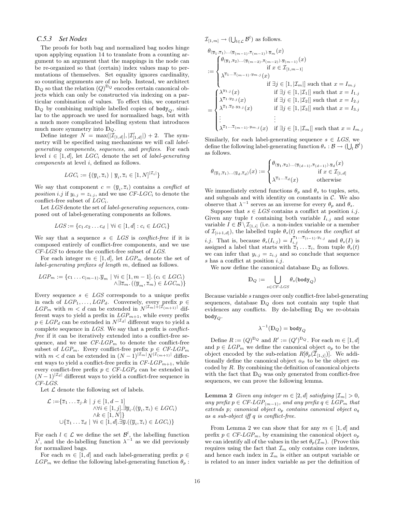### *C.5.3 Set Nodes*

The proofs for both bag and normalized bag nodes hinge upon applying equation 14 to translate from a counting argument to an argument that the mappings in the node can be re-organized so that (certain) index values map to permutations of themselves. Set equality ignores cardinality, so counting arguments are of no help. Instead, we architect  $\mathbb{D}_Q$  so that the relation  $(Q)^{\mathbb{D}_Q}$  encodes certain canonical objects which can only be constructed via indexing on a particular combination of values. To effect this, we construct  $\mathbb{D}_{Q}$  by combining multiple labelled copies of body<sub> $O$ </sub>, similar to the approach we used for normalized bags, but with a much more complicated labelling system that introduces much more symmetry into  $\mathbb{D}_{\mathcal{Q}}$ .

Define integer  $N = \max(|\mathcal{I}_{[1,d]}|, |\mathcal{I}'_{[1,d]}|) + 2$ . The symmetry will be specified using mechanisms we will call labelgenerating components, sequences, and prefixes. For each level  $i \in [1, d]$ , let  $LGC_i$  denote the set of *label-generating* components at level i, defined as follows.

$$
LGC_i := \{(\overline{y}_i, \overline{z}_i) \mid \overline{y}_i, \overline{z}_i \in [1, N]^{|{\cal I}_i|}\}
$$

We say that component  $c = (\overline{y}_i, \overline{z}_i)$  contains a *conflict at* position i.j if  $y_{i,j} = z_{i,j}$ , and we use CF-LGC<sub>i</sub> to denote the conflict-free subset of  $LGC_i$ .

Let LGS denote the set of *label-generating sequences*, composed out of label-generating components as follows.

$$
LGS := \{c_1.c_2 \dots c_d \mid \forall i \in [1, d] : c_i \in LGC_i\}
$$

We say that a sequence  $s \in LGS$  is conflict-free if it is composed entirely of conflict-free components, and we use  $CF-LGS$  to denote the conflict-free subset of  $LGS$ .

For each integer  $m \in [1, d]$ , let  $LGP_m$  denote the set of label-generating prefixes of length m, defined as follows.

$$
LGP_m := \{c_1 \dots c_{(m-1)} \cdot \overline{y}_m \mid \forall i \in [1, m-1] \cdot (c_i \in LGC_i) \land \exists \overline{z}_m \cdot ((\overline{y}_m, \overline{z}_m) \in LGC_m) \}
$$

Every sequence  $s \in LGS$  corresponds to a unique prefix in each of  $LGP_1, \ldots, LGP_d$ . Conversely, every prefix  $p \in$  $LGP_m$  with  $m < d$  can be extended in  $N^{|\mathcal{I}_m|+|\mathcal{I}_{(m+1)}|}$  different ways to yield a prefix in  $LGP_{m+1}$ , while every prefix  $p \in LGP_d$  can be extended in  $N^{|\mathcal{I}_d|}$  different ways to yield a complete sequence in  $LGS$ . We say that a prefix is *conflict*free if it can be iteratively extended into a conflict-free sequence, and we use  $CF\text{-}LGP_m$  to denote the conflict-free subset of  $LGP_m$ . Every conflict-free prefix  $p \in CF \text{-} LGP_m$ with  $m < d$  can be extended in  $(N-1)^{|\mathcal{I}_m|} N^{|\mathcal{I}_{(m+1)}|}$  different ways to yield a conflict-free prefix in  $CF-LGP_{m+1}$ , while every conflict-free prefix  $p \in CF\text{-}LGP_d$  can be extended in  $(N-1)^{|\mathcal{I}_d|}$  different ways to yield a conflict-free sequence in  $C\hspace{-0.08cm}F\hspace{-0.08cm}-.\hspace{-0.08cm}L\hspace{-0.08cm}GS.$ 

Let  ${\mathcal L}$  denote the following set of labels.

$$
\mathcal{L} := \{ \overline{z}_1 \dots \overline{z}_j \cdot k \mid j \in [1, d-1] \land \forall i \in [1, j]. \exists \overline{y}_i. ((\overline{y}_i, \overline{z}_i) \in LGC_i) \land k \in [1, N] \} \cup \{ \overline{z}_1 \dots \overline{z}_d \mid \forall i \in [1, d]. \exists \overline{y}. ((\overline{y}_i, \overline{z}_i) \in LGC_i) \}
$$

For each  $l \in \mathcal{L}$  we define the set  $\mathcal{B}^l$ , the labelling function  $\lambda^{l}$ , and the de-labelling function  $\lambda^{-1}$  as we did previously for normalized bags.

For each  $m \in [1, d]$  and each label-generating prefix  $p \in$  $LGP_m$  we define the following label-generating function  $\theta_p$ :  $\mathcal{I}_{[1,m]} \to (\bigcup_{l \in \mathcal{L}} \mathcal{B}^l)$  as follows.

$$
\theta_{(\overline{y}_1, \overline{z}_1)\dots(\overline{y}_{(m-1)}, \overline{z}_{(m-1)})\cdot\overline{y}_m}(x)
$$
\n
$$
:= \begin{cases}\n\theta_{(\overline{y}_1, \overline{z}_2)\dots(\overline{y}_{(m-2)}, \overline{z}_{(m-2)})\cdot\overline{y}_{(m-1)}}(x) & \text{if } x \in \mathcal{I}_{[1,m-1]} \\
\lambda^{\overline{z}_1 \dots \overline{z}_{(m-1)}\cdot y_{m,j}}(x) & \text{if } \exists j \in [1, |\mathcal{I}_m|] \text{ such that } x = I_{m,j} \\
\lambda^{y_{1,j}}(x) & \text{if } \exists j \in [1, |\mathcal{I}_1|] \text{ such that } x = I_{1,j} \\
\lambda^{\overline{z}_1 \cdot y_{2,j}}(x) & \text{if } \exists j \in [1, |\mathcal{I}_2|] \text{ such that } x = I_{2,j} \\
\lambda^{\overline{z}_1 \cdot \overline{z}_2 \cdot y_{3,j}}(x) & \text{if } \exists j \in [1, |\mathcal{I}_3|] \text{ such that } x = I_{3,j} \\
\vdots & \vdots \\
\lambda^{\overline{z}_1 \dots \overline{z}_{(m-1)} \cdot y_{m,j}}(x) & \text{if } \exists j \in [1, |\mathcal{I}_m|] \text{ such that } x = I_{m,j}\n\end{cases}
$$

Similarly, for each label-generating sequence  $s \in LGS$ , we define the following label-generating function  $\theta_s : \mathcal{B} \to (\bigcup_l \mathcal{B}^l)$ as follows.  $\overline{a}$ 

$$
\theta_{(\overline{y}_1, \overline{z}_1) \dots (\overline{y}_d, \overline{z}_d)}(x) := \begin{cases} \theta_{(\overline{y}_1, \overline{z}_2) \dots (\overline{y}_{(d-1)}, \overline{z}_{(d-1)}) \cdot \overline{y}_d}(x) \\ \qquad \qquad \text{if } x \in \mathcal{I}_{[1,d]} \\ \lambda^{\overline{z}_1 \dots \overline{z}_d}(x) \qquad \qquad \text{otherwise} \end{cases}
$$

We immediately extend functions  $\theta_p$  and  $\theta_s$  to tuples, sets, and subgoals and with identity on constants in  $\mathcal{C}$ . We also observe that  $\lambda^{-1}$  serves as an inverse for every  $\theta_p$  and  $\theta_s$ .

Suppose that  $s \in LGS$  contains a conflict at position i.j. Given any tuple t containing both variable  $I_{i,j}$  and some variable  $I \in \mathcal{B} \setminus \mathcal{I}_{[1,i]}$  (i.e. a non-index variable or a member of  $\mathcal{I}_{[i+1,d]}$ , the labelled tuple  $\theta_s(t)$  evidences the conflict at *i.j.* That is, because  $\theta_s(I_{i,j}) = I_{i,j}^{\overline{z}_1... \overline{z}_{(i-1)} \cdot y_{i,j}}$  and  $\theta_s(I)$  is assigned a label that starts with  $\overline{z}_1 \ldots \overline{z}_i$ , from tuple  $\theta_s(t)$ we can infer that  $y_{i,j} = z_{i,j}$  and so conclude that sequence s has a conflict at position  $i$ .j.

We now define the canonical database  $\mathbb{D}_Q$  as follows.

$$
\mathbb{D}_Q:=\bigcup_{s\in CF\text{-}LGS}\theta_s(\mathtt{body}_Q)
$$

Because variable s ranges over only conflict-free label-generating sequences, database  $\mathbb{D}_Q$  does not contain any tuple that evidences any conflicts. By de-labelling  $\mathbb{D}_Q$  we re-obtain body $_Q$ .

$$
\lambda^{-1}(\mathbb{D}_{Q})=\mathtt{body}_{Q}
$$

Define  $R := (Q)^{D_Q}$  and  $R' := (Q')^{D_Q}$ . For each  $m \in [1, d]$ and  $p \in LGP_m$  we define the canonical object  $o_p$  to be the object encoded by the sub-relation  $R[\theta_p(\overline{\mathcal{I}}_{[1,j]})]$ . We additionally define the canonical object  $o_{\emptyset}$  to be the object encoded by R. By combining the definition of canonical objects with the fact that  $\mathbb{D}_Q$  was only generated from conflict-free sequences, we can prove the following lemma.

**Lemma 2** Given any integer  $m \in [2, d]$  satisfying  $|\mathcal{I}_m| > 0$ , any prefix  $p \in CF\text{-}LGP_{(m-1)}$ , and any prefix  $q \in LGP_m$  that extends p; canonical object o<sup>p</sup> contains canonical object o<sup>q</sup> as a sub-object iff q is conflict-free.

From Lemma 2 we can show that for any  $m \in [1, d]$  and prefix  $p \in CF\text{-}LGP_m$ , by examining the canonical object  $o_p$ we can identify all of the values in the set  $\theta_p(\mathcal{I}_m)$ . (Prove this requires using the fact that  $\mathcal{I}_m$  only contains core indexes, and hence each index in  $\mathcal{I}_m$  is either an output variable or is related to an inner index variable as per the definition of